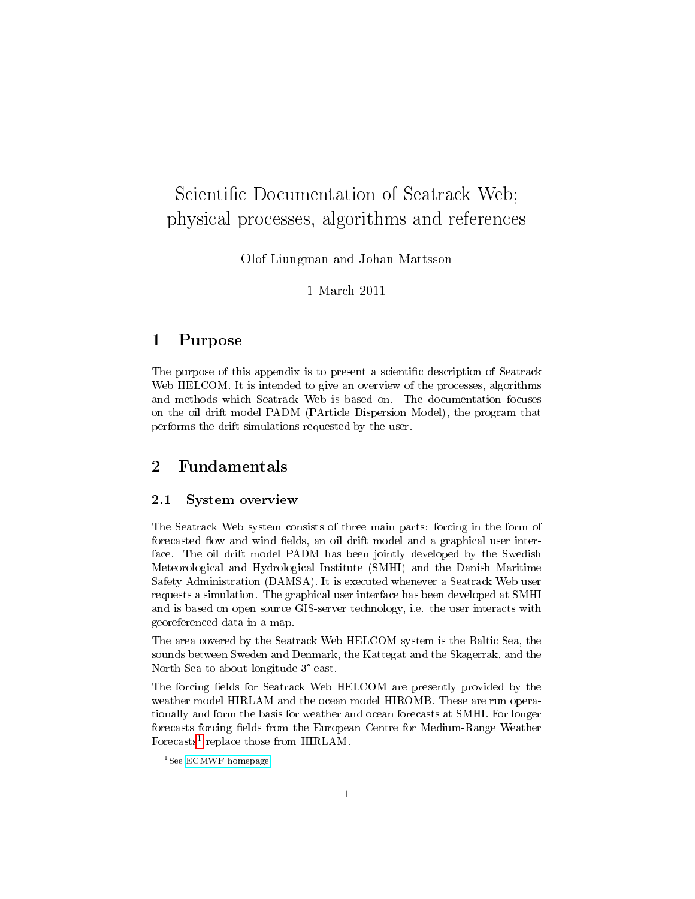# Scientific Documentation of Seatrack Web; physical processes, algorithms and references

Olof Liungman and Johan Mattsson

## 1 March 2011

## 1 Purpose

The purpose of this appendix is to present a scientific description of Seatrack Web HELCOM. It is intended to give an overview of the processes, algorithms and methods which Seatrack Web is based on. The documentation focuses on the oil drift model PADM (PArticle Dispersion Model), the program that performs the drift simulations requested by the user.

# 2 Fundamentals

## 2.1 System overview

The Seatrack Web system consists of three main parts: forcing in the form of forecasted flow and wind fields, an oil drift model and a graphical user interface. The oil drift model PADM has been jointly developed by the Swedish Meteorological and Hydrological Institute (SMHI) and the Danish Maritime Safety Administration (DAMSA). It is executed whenever a Seatrack Web user requests a simulation. The graphical user interface has been developed at SMHI and is based on open source GIS-server technology, i.e. the user interacts with georeferenced data in a map.

The area covered by the Seatrack Web HELCOM system is the Baltic Sea, the sounds between Sweden and Denmark, the Kattegat and the Skagerrak, and the North Sea to about longitude 3° east.

The forcing fields for Seatrack Web HELCOM are presently provided by the weather model HIRLAM and the ocean model HIROMB. These are run operationally and form the basis for weather and ocean forecasts at SMHI. For longer forecasts forcing fields from the European Centre for Medium-Range Weather Forecasts<sup>[1](#page-0-0)</sup> replace those from HIRLAM.

<span id="page-0-0"></span><sup>&</sup>lt;sup>1</sup>See [ECMWF homepage](http://www.ecmwf.int)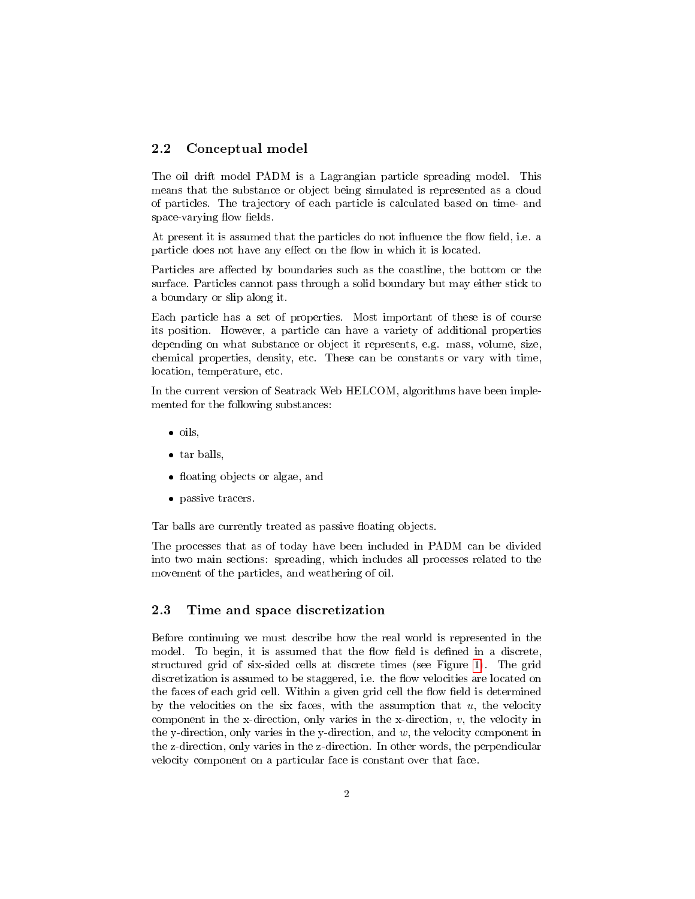## 2.2 Conceptual model

The oil drift model PADM is a Lagrangian particle spreading model. This means that the substance or object being simulated is represented as a cloud of particles. The trajectory of each particle is calculated based on time- and space-varying flow fields.

At present it is assumed that the particles do not influence the flow field, i.e. a particle does not have any effect on the flow in which it is located.

Particles are affected by boundaries such as the coastline, the bottom or the surface. Particles cannot pass through a solid boundary but may either stick to a boundary or slip along it.

Each particle has a set of properties. Most important of these is of course its position. However, a particle can have a variety of additional properties depending on what substance or object it represents, e.g. mass, volume, size, chemical properties, density, etc. These can be constants or vary with time, location, temperature, etc.

In the current version of Seatrack Web HELCOM, algorithms have been implemented for the following substances:

- $\bullet$  oils,
- tar balls,
- floating objects or algae, and
- passive tracers.

Tar balls are currently treated as passive floating objects.

The processes that as of today have been included in PADM can be divided into two main sections: spreading, which includes all processes related to the movement of the particles, and weathering of oil.

## <span id="page-1-0"></span>2.3 Time and space discretization

Before continuing we must describe how the real world is represented in the model. To begin, it is assumed that the flow field is defined in a discrete, structured grid of six-sided cells at discrete times (see Figure [1\)](#page-2-0). The grid discretization is assumed to be staggered, i.e. the flow velocities are located on the faces of each grid cell. Within a given grid cell the flow field is determined by the velocities on the six faces, with the assumption that  $u$ , the velocity component in the x-direction, only varies in the x-direction, v, the velocity in the y-direction, only varies in the y-direction, and  $w$ , the velocity component in the z-direction, only varies in the z-direction. In other words, the perpendicular velocity component on a particular face is constant over that face.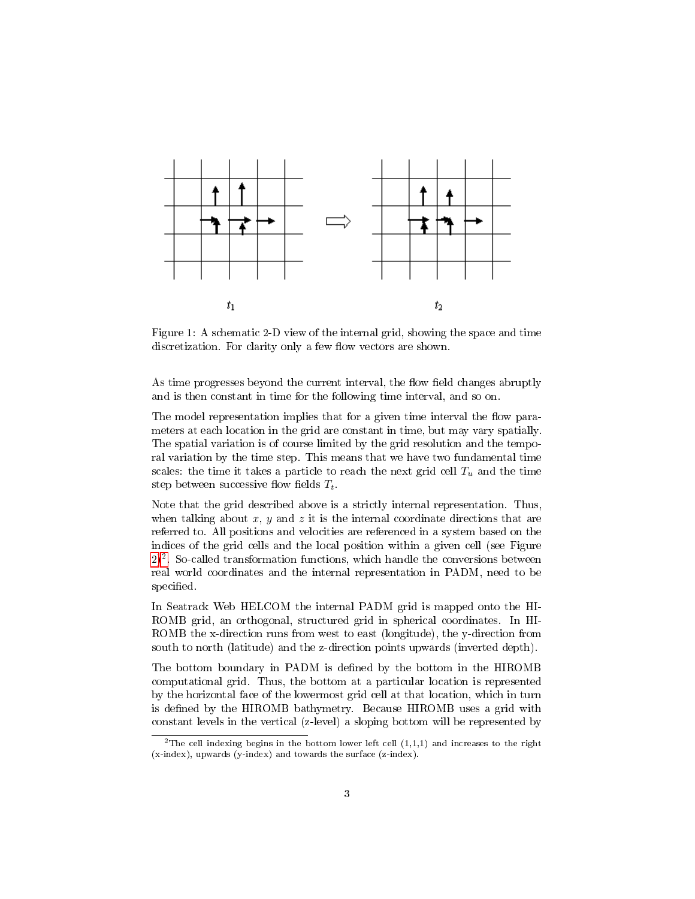

<span id="page-2-0"></span>Figure 1: A schematic 2-D view of the internal grid, showing the space and time discretization. For clarity only a few flow vectors are shown.

As time progresses beyond the current interval, the flow field changes abruptly and is then constant in time for the following time interval, and so on.

The model representation implies that for a given time interval the flow parameters at each location in the grid are constant in time, but may vary spatially. The spatial variation is of course limited by the grid resolution and the temporal variation by the time step. This means that we have two fundamental time scales: the time it takes a particle to reach the next grid cell  $T_u$  and the time step between successive flow fields  $T_t$ .

Note that the grid described above is a strictly internal representation. Thus, when talking about  $x, y$  and  $z$  it is the internal coordinate directions that are referred to. All positions and velocities are referenced in a system based on the indices of the grid cells and the local position within a given cell (see Figure [2\)](#page-3-0)[2](#page-2-1) . So-called transformation functions, which handle the conversions between real world coordinates and the internal representation in PADM, need to be specified.

In Seatrack Web HELCOM the internal PADM grid is mapped onto the HI-ROMB grid, an orthogonal, structured grid in spherical coordinates. In HI-ROMB the x-direction runs from west to east (longitude), the y-direction from south to north (latitude) and the z-direction points upwards (inverted depth).

The bottom boundary in PADM is defined by the bottom in the HIROMB computational grid. Thus, the bottom at a particular location is represented by the horizontal face of the lowermost grid cell at that location, which in turn is defined by the HIROMB bathymetry. Because HIROMB uses a grid with constant levels in the vertical (z-level) a sloping bottom will be represented by

<span id="page-2-1"></span><sup>&</sup>lt;sup>2</sup>The cell indexing begins in the bottom lower left cell  $(1,1,1)$  and increases to the right (x-index), upwards (y-index) and towards the surface (z-index).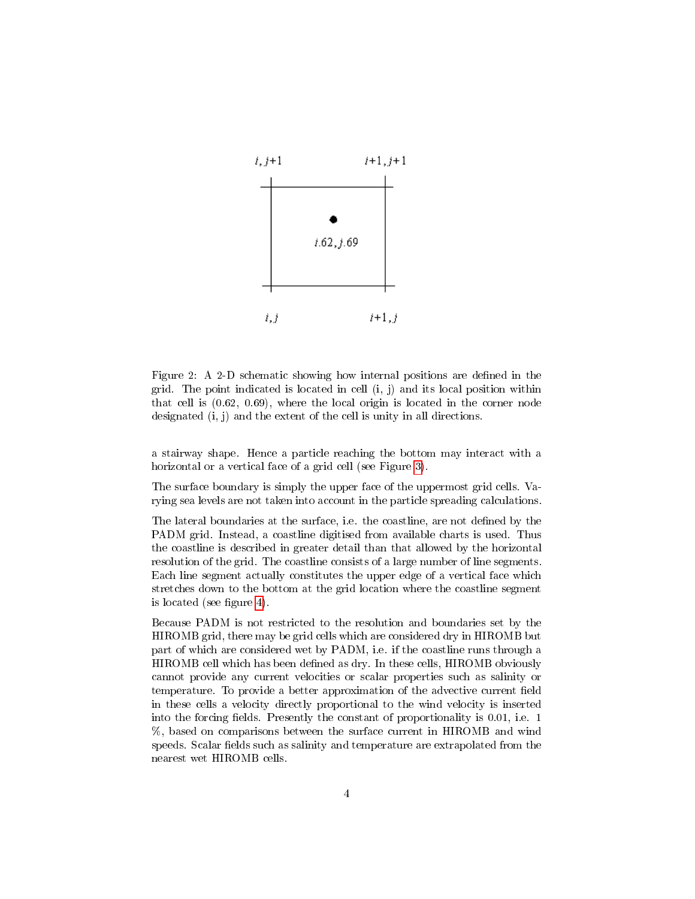

<span id="page-3-0"></span>Figure 2: A 2-D schematic showing how internal positions are defined in the grid. The point indicated is located in cell  $(i, j)$  and its local position within that cell is (0.62, 0.69), where the local origin is located in the corner node designated (i, j) and the extent of the cell is unity in all directions.

a stairway shape. Hence a particle reaching the bottom may interact with a horizontal or a vertical face of a grid cell (see Figure [3\)](#page-4-0).

The surface boundary is simply the upper face of the uppermost grid cells. Varying sea levels are not taken into account in the particle spreading calculations.

The lateral boundaries at the surface, i.e. the coastline, are not defined by the PADM grid. Instead, a coastline digitised from available charts is used. Thus the coastline is described in greater detail than that allowed by the horizontal resolution of the grid. The coastline consists of a large number of line segments. Each line segment actually constitutes the upper edge of a vertical face which stretches down to the bottom at the grid location where the coastline segment is located (see figure [4\)](#page-5-0).

Because PADM is not restricted to the resolution and boundaries set by the HIROMB grid, there may be grid cells which are considered dry in HIROMB but part of which are considered wet by PADM, i.e. if the coastline runs through a HIROMB cell which has been dened as dry. In these cells, HIROMB obviously cannot provide any current velocities or scalar properties such as salinity or temperature. To provide a better approximation of the advective current field in these cells a velocity directly proportional to the wind velocity is inserted into the forcing fields. Presently the constant of proportionality is  $0.01$ , i.e. 1 %, based on comparisons between the surface current in HIROMB and wind speeds. Scalar fields such as salinity and temperature are extrapolated from the nearest wet HIROMB cells.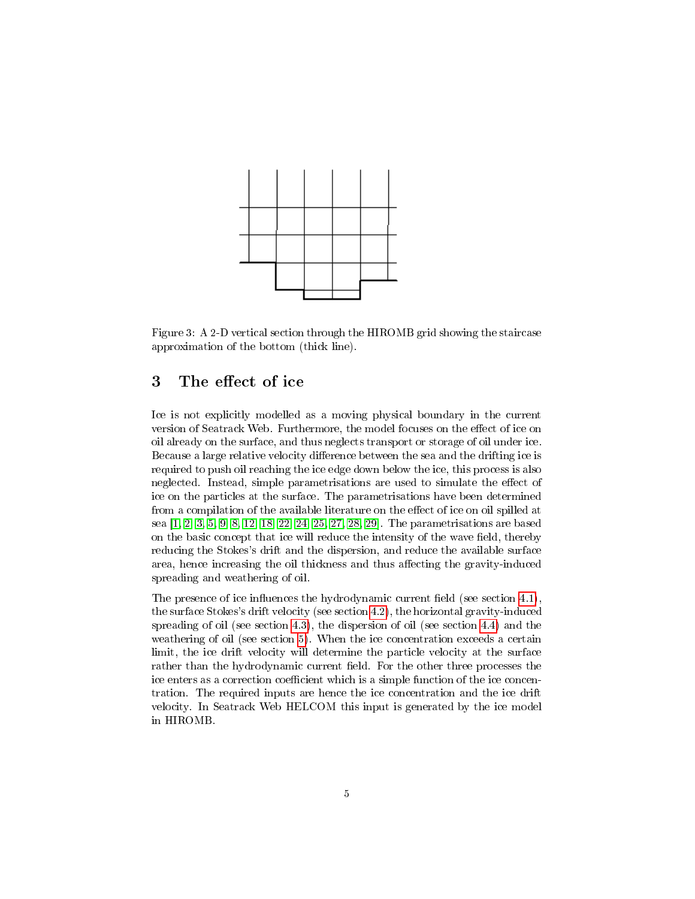

<span id="page-4-0"></span>Figure 3: A 2-D vertical section through the HIROMB grid showing the staircase approximation of the bottom (thick line).

# <span id="page-4-1"></span>3 The effect of ice

Ice is not explicitly modelled as a moving physical boundary in the current version of Seatrack Web. Furthermore, the model focuses on the effect of ice on oil already on the surface, and thus neglects transport or storage of oil under ice. Because a large relative velocity difference between the sea and the drifting ice is required to push oil reaching the ice edge down below the ice, this process is also neglected. Instead, simple parametrisations are used to simulate the effect of ice on the particles at the surface. The parametrisations have been determined from a compilation of the available literature on the effect of ice on oil spilled at sea [\[1,](#page-29-0) [2,](#page-29-1) [3,](#page-29-2) [5,](#page-29-3) [9,](#page-29-4) [8,](#page-29-5) [12,](#page-30-0) [18,](#page-30-1) [22,](#page-30-2) [24,](#page-30-3) [25,](#page-31-0) [27,](#page-31-1) [28,](#page-31-2) [29\]](#page-31-3). The parametrisations are based on the basic concept that ice will reduce the intensity of the wave field, thereby reducing the Stokes's drift and the dispersion, and reduce the available surface area, hence increasing the oil thickness and thus affecting the gravity-induced spreading and weathering of oil.

The presence of ice influences the hydrodynamic current field (see section  $4.1$ ), the surface Stokes's drift velocity (see section [4.2\)](#page-9-0), the horizontal gravity-induced spreading of oil (see section [4.3\)](#page-11-0), the dispersion of oil (see section [4.4\)](#page-16-0) and the weathering of oil (see section [5\)](#page-21-0). When the ice concentration exceeds a certain limit, the ice drift velocity will determine the particle velocity at the surface rather than the hydrodynamic current field. For the other three processes the ice enters as a correction coefficient which is a simple function of the ice concentration. The required inputs are hence the ice concentration and the ice drift velocity. In Seatrack Web HELCOM this input is generated by the ice model in HIROMB.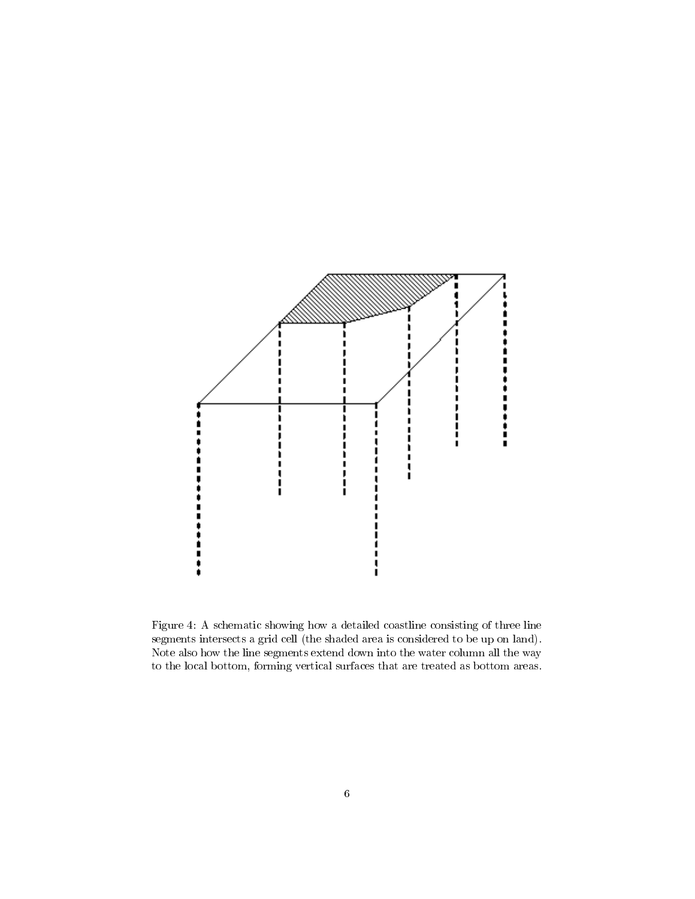

<span id="page-5-0"></span>Figure 4: A schematic showing how a detailed coastline consisting of three line segments intersects a grid cell (the shaded area is considered to be up on land). Note also how the line segments extend down into the water column all the way to the local bottom, forming vertical surfaces that are treated as bottom areas.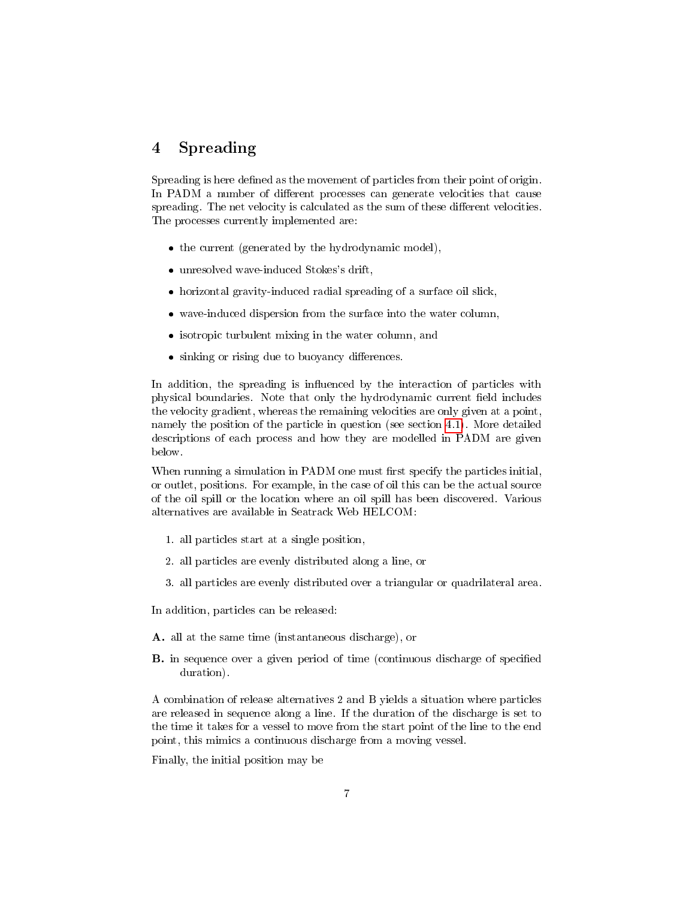# <span id="page-6-0"></span>4 Spreading

Spreading is here defined as the movement of particles from their point of origin. In PADM a number of different processes can generate velocities that cause spreading. The net velocity is calculated as the sum of these different velocities. The processes currently implemented are:

- the current (generated by the hydrodynamic model),
- unresolved wave-induced Stokes's drift,
- horizontal gravity-induced radial spreading of a surface oil slick,
- wave-induced dispersion from the surface into the water column,
- isotropic turbulent mixing in the water column, and
- $\bullet$  sinking or rising due to buoyancy differences.

In addition, the spreading is influenced by the interaction of particles with physical boundaries. Note that only the hydrodynamic current field includes the velocity gradient, whereas the remaining velocities are only given at a point, namely the position of the particle in question (see section [4.1\)](#page-7-0). More detailed descriptions of each process and how they are modelled in PADM are given below.

When running a simulation in PADM one must first specify the particles initial, or outlet, positions. For example, in the case of oil this can be the actual source of the oil spill or the location where an oil spill has been discovered. Various alternatives are available in Seatrack Web HELCOM:

- 1. all particles start at a single position,
- 2. all particles are evenly distributed along a line, or
- 3. all particles are evenly distributed over a triangular or quadrilateral area.

In addition, particles can be released:

- A. all at the same time (instantaneous discharge), or
- **B.** in sequence over a given period of time (continuous discharge of specified duration).

A combination of release alternatives 2 and B yields a situation where particles are released in sequence along a line. If the duration of the discharge is set to the time it takes for a vessel to move from the start point of the line to the end point, this mimics a continuous discharge from a moving vessel.

Finally, the initial position may be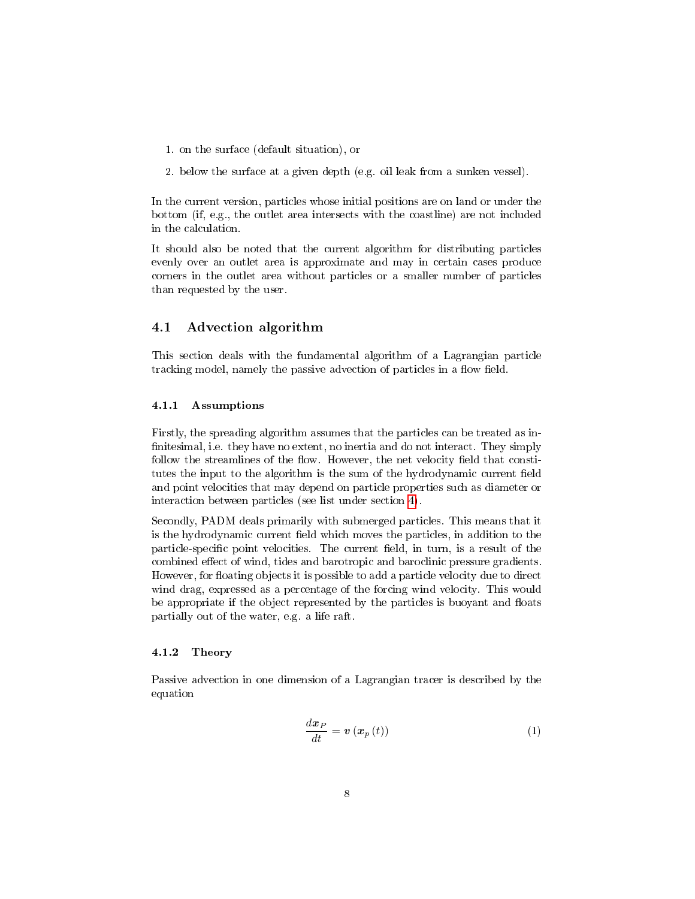- 1. on the surface (default situation), or
- 2. below the surface at a given depth (e.g. oil leak from a sunken vessel).

In the current version, particles whose initial positions are on land or under the bottom (if, e.g., the outlet area intersects with the coastline) are not included in the calculation.

It should also be noted that the current algorithm for distributing particles evenly over an outlet area is approximate and may in certain cases produce corners in the outlet area without particles or a smaller number of particles than requested by the user.

## <span id="page-7-0"></span>4.1 Advection algorithm

This section deals with the fundamental algorithm of a Lagrangian particle tracking model, namely the passive advection of particles in a flow field.

## 4.1.1 Assumptions

Firstly, the spreading algorithm assumes that the particles can be treated as in finitesimal, i.e. they have no extent, no inertia and do not interact. They simply follow the streamlines of the flow. However, the net velocity field that constitutes the input to the algorithm is the sum of the hydrodynamic current field and point velocities that may depend on particle properties such as diameter or interaction between particles (see list under section [4\)](#page-6-0).

Secondly, PADM deals primarily with submerged particles. This means that it is the hydrodynamic current field which moves the particles, in addition to the particle-specific point velocities. The current field, in turn, is a result of the combined effect of wind, tides and barotropic and baroclinic pressure gradients. However, for floating objects it is possible to add a particle velocity due to direct wind drag, expressed as a percentage of the forcing wind velocity. This would be appropriate if the object represented by the particles is buoyant and floats partially out of the water, e.g. a life raft.

#### 4.1.2 Theory

Passive advection in one dimension of a Lagrangian tracer is described by the equation

$$
\frac{d\boldsymbol{x}_P}{dt} = \boldsymbol{v}\left(\boldsymbol{x}_p\left(t\right)\right) \tag{1}
$$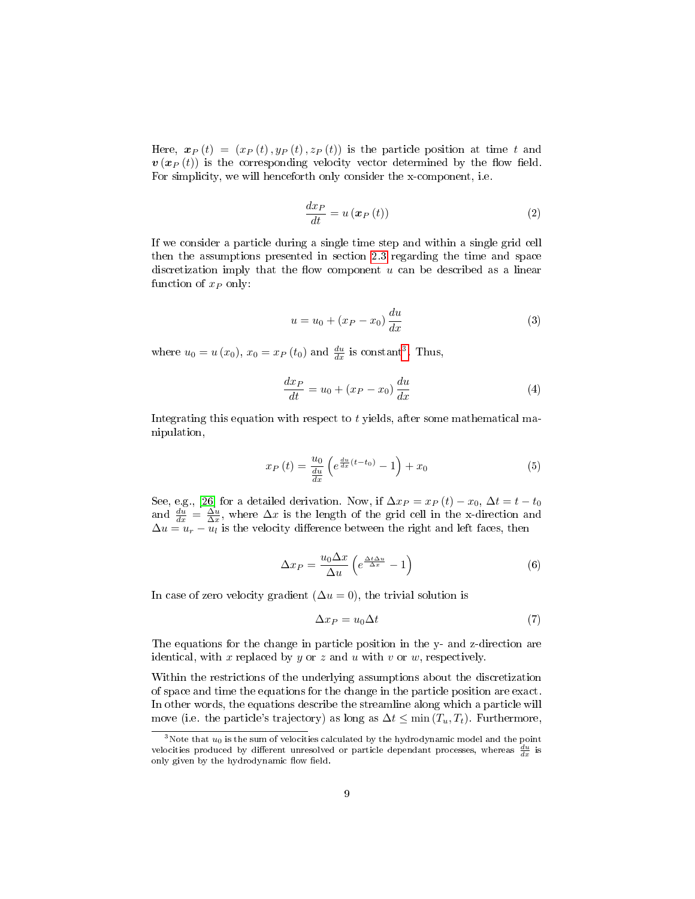Here,  $\mathbf{x}_P(t) = (x_P(t), y_P(t), z_P(t))$  is the particle position at time t and  $v(x_P(t))$  is the corresponding velocity vector determined by the flow field. For simplicity, we will henceforth only consider the x-component, i.e.

$$
\frac{dx_P}{dt} = u\left(\boldsymbol{x}_P\left(t\right)\right) \tag{2}
$$

If we consider a particle during a single time step and within a single grid cell then the assumptions presented in section [2.3](#page-1-0) regarding the time and space discretization imply that the flow component  $u$  can be described as a linear function of  $x_P$  only:

$$
u = u_0 + (x_P - x_0) \frac{du}{dx}
$$
 (3)

where  $u_0 = u(x_0)$ ,  $x_0 = x_P(t_0)$  and  $\frac{du}{dx}$  is constant<sup>[3](#page-8-0)</sup>. Thus,

$$
\frac{dx_P}{dt} = u_0 + (x_P - x_0) \frac{du}{dx} \tag{4}
$$

Integrating this equation with respect to t yields, after some mathematical manipulation,

$$
x_P\left(t\right) = \frac{u_0}{\frac{du}{dx}} \left(e^{\frac{du}{dx}\left(t-t_0\right)} - 1\right) + x_0 \tag{5}
$$

See, e.g., [\[26\]](#page-31-4) for a detailed derivation. Now, if  $\Delta x_P = x_P(t) - x_0$ ,  $\Delta t = t - t_0$ and  $\frac{du}{dx} = \frac{\Delta u}{\Delta x}$ , where  $\Delta x$  is the length of the grid cell in the x-direction and  $\Delta u = u_r - u_l$  is the velocity difference between the right and left faces, then

$$
\Delta x_P = \frac{u_0 \Delta x}{\Delta u} \left( e^{\frac{\Delta t \Delta u}{\Delta x}} - 1 \right) \tag{6}
$$

In case of zero velocity gradient  $(\Delta u = 0)$ , the trivial solution is

$$
\Delta x_P = u_0 \Delta t \tag{7}
$$

The equations for the change in particle position in the y- and z-direction are identical, with x replaced by y or z and u with v or w, respectively.

Within the restrictions of the underlying assumptions about the discretization of space and time the equations for the change in the particle position are exact. In other words, the equations describe the streamline along which a particle will move (i.e. the particle's trajectory) as long as  $\Delta t \leq \min(T_u, T_t)$ . Furthermore,

<span id="page-8-0"></span> $3$ Note that  $u_0$  is the sum of velocities calculated by the hydrodynamic model and the point velocities produced by different unresolved or particle dependant processes, whereas  $\frac{du}{dx}$  is only given by the hydrodynamic flow field.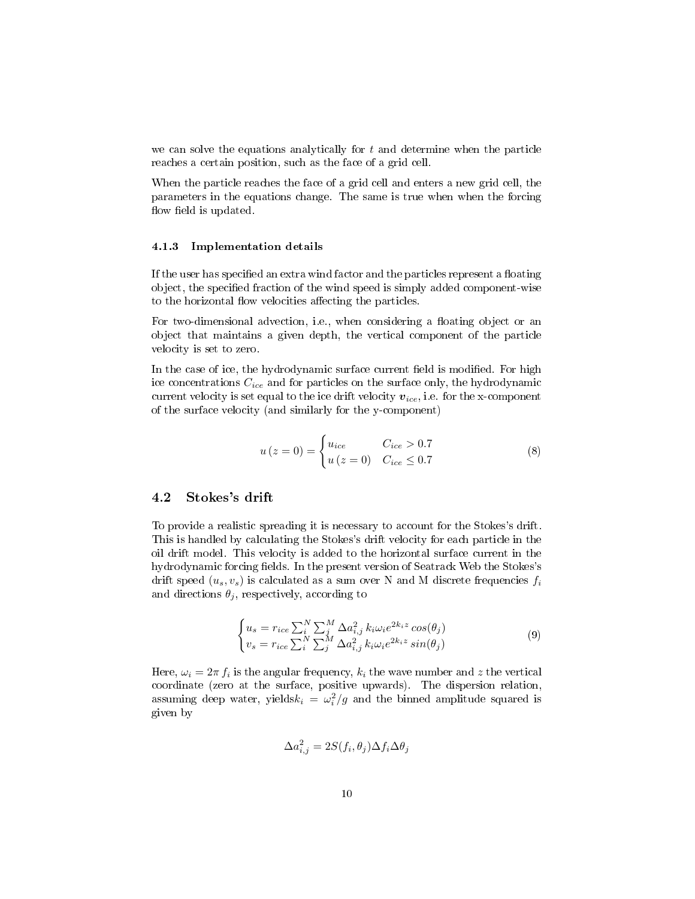we can solve the equations analytically for  $t$  and determine when the particle reaches a certain position, such as the face of a grid cell.

When the particle reaches the face of a grid cell and enters a new grid cell, the parameters in the equations change. The same is true when when the forcing flow field is updated.

#### 4.1.3 Implementation details

If the user has specified an extra wind factor and the particles represent a floating object, the specified fraction of the wind speed is simply added component-wise to the horizontal flow velocities affecting the particles.

For two-dimensional advection, i.e., when considering a floating object or an object that maintains a given depth, the vertical component of the particle velocity is set to zero.

In the case of ice, the hydrodynamic surface current field is modified. For high ice concentrations  $C_{ice}$  and for particles on the surface only, the hydrodynamic current velocity is set equal to the ice drift velocity  $v_{ice}$ , i.e. for the x-component of the surface velocity (and similarly for the y-component)

$$
u(z=0) = \begin{cases} u_{ice} & C_{ice} > 0.7\\ u(z=0) & C_{ice} \le 0.7 \end{cases}
$$
 (8)

## <span id="page-9-0"></span>4.2 Stokes's drift

To provide a realistic spreading it is necessary to account for the Stokes's drift. This is handled by calculating the Stokes's drift velocity for each particle in the oil drift model. This velocity is added to the horizontal surface current in the hydrodynamic forcing fields. In the present version of Seatrack Web the Stokes's drift speed  $(u_s, v_s)$  is calculated as a sum over N and M discrete frequencies  $f_i$ and directions  $\theta_j$ , respectively, according to

$$
\begin{cases}\n u_s = r_{ice} \sum_i^N \sum_j^M \Delta a_{i,j}^2 k_i \omega_i e^{2k_i z} \cos(\theta_j) \\
v_s = r_{ice} \sum_i^N \sum_j^M \Delta a_{i,j}^2 k_i \omega_i e^{2k_i z} \sin(\theta_j)\n\end{cases} \tag{9}
$$

Here,  $\omega_i = 2\pi f_i$  is the angular frequency,  $k_i$  the wave number and z the vertical coordinate (zero at the surface, positive upwards). The dispersion relation, assuming deep water, yields $k_i = \omega_i^2/g$  and the binned amplitude squared is given by

$$
\Delta a_{i,j}^2 = 2S(f_i, \theta_j) \Delta f_i \Delta \theta_j
$$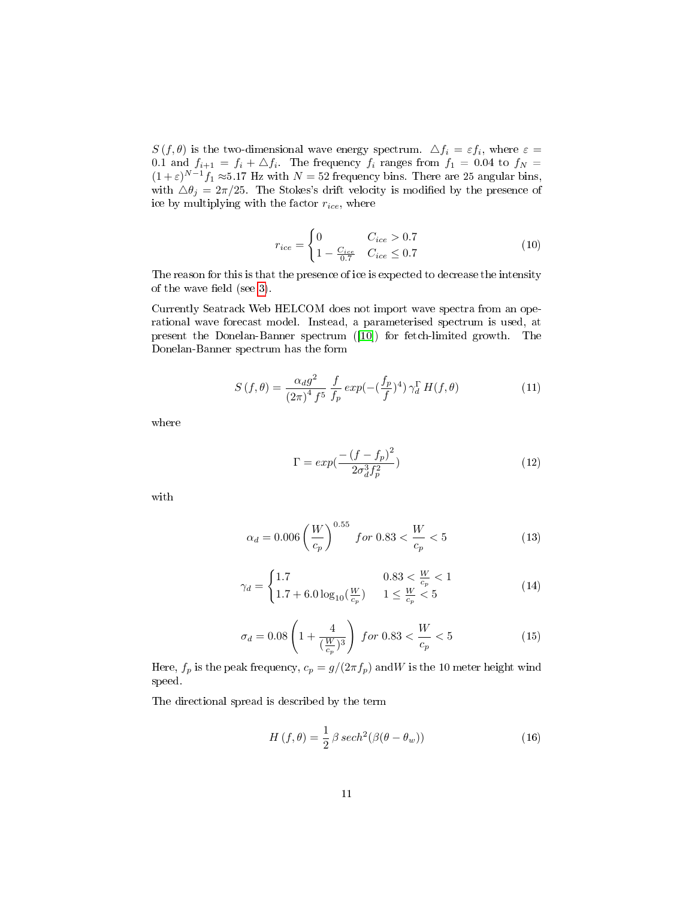$S(f, \theta)$  is the two-dimensional wave energy spectrum.  $\Delta f_i = \varepsilon f_i$ , where  $\varepsilon =$ 0.1 and  $f_{i+1} = f_i + \triangle f_i$ . The frequency  $f_i$  ranges from  $f_1 = 0.04$  to  $f_N =$  $(1+\varepsilon)^{N-1}f_1 \approx 5.17$  Hz with  $N = 52$  frequency bins. There are 25 angular bins, with  $\Delta \theta_j = 2\pi/25$ . The Stokes's drift velocity is modified by the presence of ice by multiplying with the factor  $r_{ice}$ , where

$$
r_{ice} = \begin{cases} 0 & C_{ice} > 0.7\\ 1 - \frac{C_{ice}}{0.7} & C_{ice} \le 0.7 \end{cases}
$$
(10)

The reason for this is that the presence of ice is expected to decrease the intensity of the wave field (see  $3$ ).

Currently Seatrack Web HELCOM does not import wave spectra from an operational wave forecast model. Instead, a parameterised spectrum is used, at present the Donelan-Banner spectrum ([\[10\]](#page-29-6)) for fetch-limited growth. The Donelan-Banner spectrum has the form

$$
S(f,\theta) = \frac{\alpha_d g^2}{(2\pi)^4 f^5} \frac{f}{f_p} \exp(-(\frac{f_p}{f})^4) \gamma_d^{\Gamma} H(f,\theta)
$$
 (11)

where

$$
\Gamma = exp(\frac{-(f-f_p)^2}{2\sigma_d^3 f_p^2})\tag{12}
$$

with

$$
\alpha_d = 0.006 \left(\frac{W}{c_p}\right)^{0.55} \text{ for } 0.83 < \frac{W}{c_p} < 5 \tag{13}
$$

$$
\gamma_d = \begin{cases} 1.7 & 0.83 < \frac{W}{c_p} < 1\\ 1.7 + 6.0\log_{10}(\frac{W}{c_p}) & 1 \le \frac{W}{c_p} < 5 \end{cases}
$$
(14)

$$
\sigma_d = 0.08 \left( 1 + \frac{4}{(\frac{W}{c_p})^3} \right) \text{ for } 0.83 < \frac{W}{c_p} < 5 \tag{15}
$$

Here,  $f_p$  is the peak frequency,  $c_p = g/(2\pi f_p)$  and W is the 10 meter height wind speed.

The directional spread is described by the term

$$
H\left(f,\theta\right) = \frac{1}{2}\beta \operatorname{sech}^2(\beta(\theta - \theta_w))\tag{16}
$$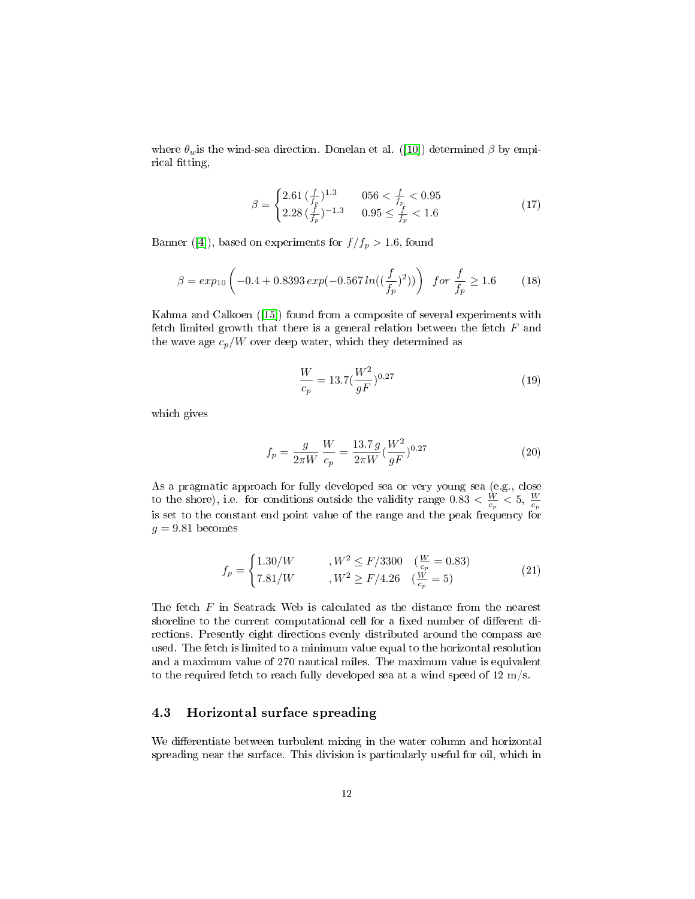where  $\theta_w$  is the wind-sea direction. Donelan et al. ([\[10\]](#page-29-6)) determined  $\beta$  by empirical fitting,

$$
\beta = \begin{cases} 2.61 \left( \frac{f}{f_p} \right)^{1.3} & 056 < \frac{f}{f_p} < 0.95\\ 2.28 \left( \frac{f}{f_p} \right)^{-1.3} & 0.95 \le \frac{f}{f_p} < 1.6 \end{cases}
$$
(17)

Banner ([\[4\]](#page-29-7)), based on experiments for  $f/f_p > 1.6$ , found

$$
\beta = exp_{10}\left(-0.4 + 0.8393 \exp(-0.567 \ln((\frac{f}{f_p})^2))\right) \text{ for } \frac{f}{f_p} \ge 1.6 \quad (18)
$$

Kahma and Calkoen ([\[15\]](#page-30-4)) found from a composite of several experiments with fetch limited growth that there is a general relation between the fetch  $F$  and the wave age  $c_p/W$  over deep water, which they determined as

$$
\frac{W}{c_p} = 13.7 \left(\frac{W^2}{gF}\right)^{0.27} \tag{19}
$$

which gives

$$
f_p = \frac{g}{2\pi W} \frac{W}{c_p} = \frac{13.7 \, g}{2\pi W} \left(\frac{W^2}{gF}\right)^{0.27} \tag{20}
$$

As a pragmatic approach for fully developed sea or very young sea (e.g., close to the shore), i.e. for conditions outside the validity range  $0.83 < \frac{W}{c_p} < 5$ ,  $\frac{W}{c_p}$  is set to the constant end point value of the range and the peak frequency for  $g = 9.81$  becomes

$$
f_p = \begin{cases} 1.30/W & , W^2 \le F/3300 & (\frac{W}{c_p} = 0.83) \\ 7.81/W & , W^2 \ge F/4.26 & (\frac{W}{c_p} = 5) \end{cases}
$$
(21)

The fetch F in Seatrack Web is calculated as the distance from the nearest shoreline to the current computational cell for a fixed number of different directions. Presently eight directions evenly distributed around the compass are used. The fetch is limited to a minimum value equal to the horizontal resolution and a maximum value of 270 nautical miles. The maximum value is equivalent to the required fetch to reach fully developed sea at a wind speed of  $12 \text{ m/s}$ .

## <span id="page-11-0"></span>4.3 Horizontal surface spreading

We differentiate between turbulent mixing in the water column and horizontal spreading near the surface. This division is particularly useful for oil, which in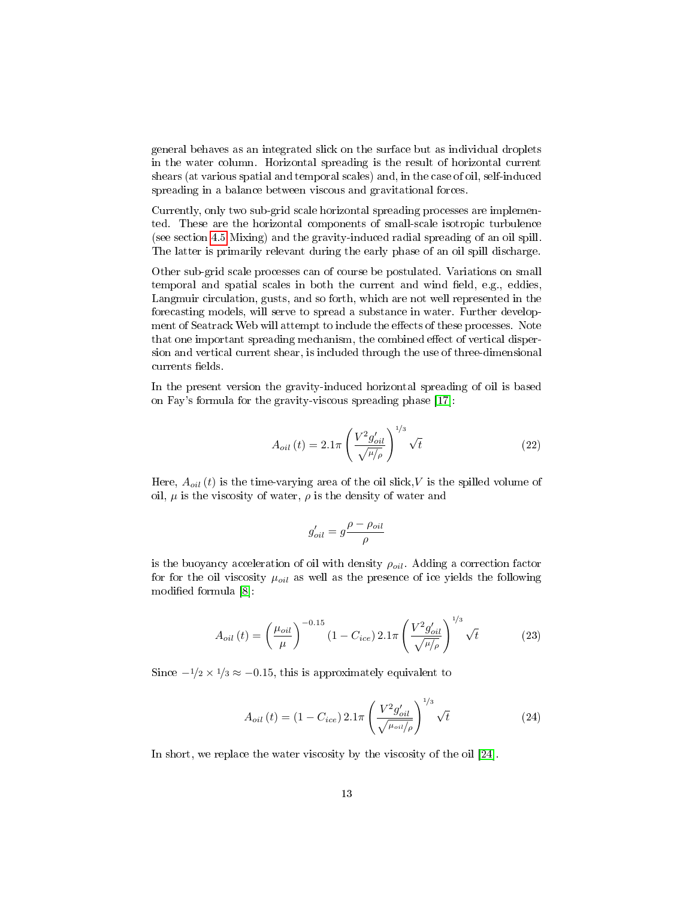general behaves as an integrated slick on the surface but as individual droplets in the water column. Horizontal spreading is the result of horizontal current shears (at various spatial and temporal scales) and, in the case of oil, self-induced spreading in a balance between viscous and gravitational forces.

Currently, only two sub-grid scale horizontal spreading processes are implemented. These are the horizontal components of small-scale isotropic turbulence (see section [4.5](#page-17-0) Mixing) and the gravity-induced radial spreading of an oil spill. The latter is primarily relevant during the early phase of an oil spill discharge.

Other sub-grid scale processes can of course be postulated. Variations on small temporal and spatial scales in both the current and wind field, e.g., eddies, Langmuir circulation, gusts, and so forth, which are not well represented in the forecasting models, will serve to spread a substance in water. Further development of Seatrack Web will attempt to include the effects of these processes. Note that one important spreading mechanism, the combined effect of vertical dispersion and vertical current shear, is included through the use of three-dimensional currents fields.

In the present version the gravity-induced horizontal spreading of oil is based on Fay's formula for the gravity-viscous spreading phase [\[17\]](#page-30-5):

$$
A_{oil} (t) = 2.1\pi \left(\frac{V^2 g_{oil}'}{\sqrt{\mu/\rho}}\right)^{1/3} \sqrt{t}
$$
 (22)

Here,  $A_{oil}(t)$  is the time-varying area of the oil slick, V is the spilled volume of oil,  $\mu$  is the viscosity of water,  $\rho$  is the density of water and

$$
g'_{oil} = g \frac{\rho - \rho_{oil}}{\rho}
$$

is the buoyancy acceleration of oil with density  $\rho_{oil}$ . Adding a correction factor for for the oil viscosity  $\mu_{oil}$  as well as the presence of ice yields the following modified formula [\[8\]](#page-29-5):

$$
A_{oil}(t) = \left(\frac{\mu_{oil}}{\mu}\right)^{-0.15} (1 - C_{ice}) 2.1\pi \left(\frac{V^2 g'_{oil}}{\sqrt{\mu/\rho}}\right)^{1/3} \sqrt{t}
$$
 (23)

Since  $-\frac{1}{2} \times \frac{1}{3} \approx -0.15$ , this is approximately equivalent to

<span id="page-12-0"></span>
$$
A_{oil}(t) = (1 - C_{ice}) 2.1\pi \left(\frac{V^2 g'_{oil}}{\sqrt{\mu_{oil}/\rho}}\right)^{1/3} \sqrt{t}
$$
 (24)

In short, we replace the water viscosity by the viscosity of the oil [\[24\]](#page-30-3).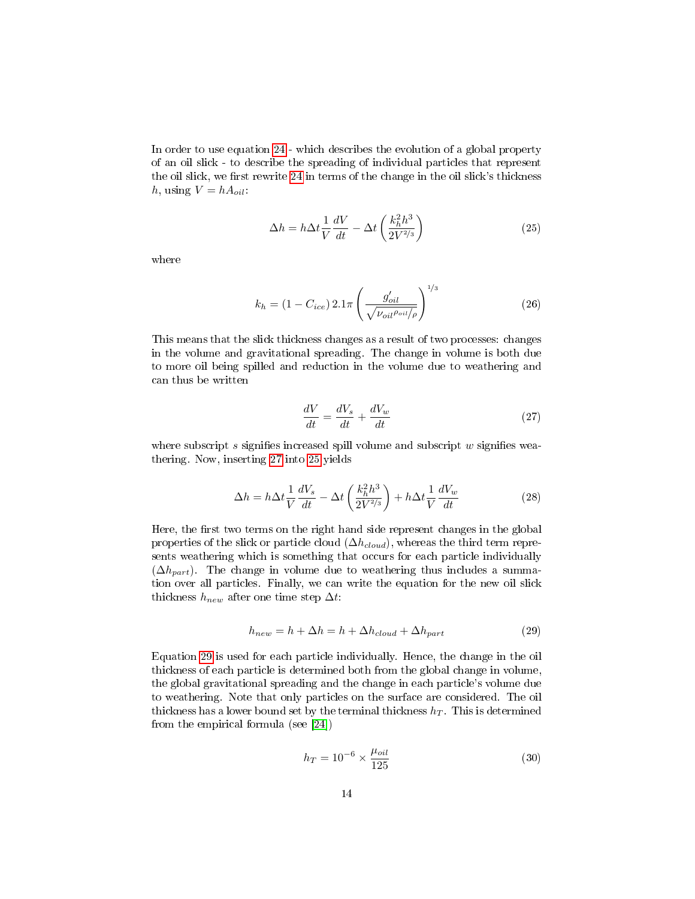In order to use equation [24](#page-12-0) - which describes the evolution of a global property of an oil slick - to describe the spreading of individual particles that represent the oil slick, we first rewrite [24](#page-12-0) in terms of the change in the oil slick's thickness h, using  $V = h A_{oil}$ :

<span id="page-13-1"></span>
$$
\Delta h = h \Delta t \frac{1}{V} \frac{dV}{dt} - \Delta t \left( \frac{k_h^2 h^3}{2V^{2/3}} \right)
$$
\n(25)

where

$$
k_h = (1 - C_{ice}) 2.1\pi \left(\frac{g'_{oil}}{\sqrt{\nu_{oil}\rho_{oil}}}\right)^{1/3}
$$
 (26)

This means that the slick thickness changes as a result of two processes: changes in the volume and gravitational spreading. The change in volume is both due to more oil being spilled and reduction in the volume due to weathering and can thus be written

<span id="page-13-0"></span>
$$
\frac{dV}{dt} = \frac{dV_s}{dt} + \frac{dV_w}{dt} \tag{27}
$$

where subscript s signifies increased spill volume and subscript  $w$  signifies weathering. Now, inserting [27](#page-13-0) into [25](#page-13-1) yields

$$
\Delta h = h \Delta t \frac{1}{V} \frac{dV_s}{dt} - \Delta t \left( \frac{k_h^2 h^3}{2V^{2/3}} \right) + h \Delta t \frac{1}{V} \frac{dV_w}{dt}
$$
\n(28)

Here, the first two terms on the right hand side represent changes in the global properties of the slick or particle cloud  $(\Delta h_{cloud})$ , whereas the third term represents weathering which is something that occurs for each particle individually  $(\Delta h_{part})$ . The change in volume due to weathering thus includes a summation over all particles. Finally, we can write the equation for the new oil slick thickness  $h_{new}$  after one time step  $\Delta t$ :

<span id="page-13-2"></span>
$$
h_{new} = h + \Delta h = h + \Delta h_{cloud} + \Delta h_{part}
$$
\n(29)

Equation [29](#page-13-2) is used for each particle individually. Hence, the change in the oil thickness of each particle is determined both from the global change in volume, the global gravitational spreading and the change in each particle's volume due to weathering. Note that only particles on the surface are considered. The oil thickness has a lower bound set by the terminal thickness  $h_T$ . This is determined from the empirical formula (see [\[24\]](#page-30-3))

$$
h_T = 10^{-6} \times \frac{\mu_{oil}}{125}
$$
 (30)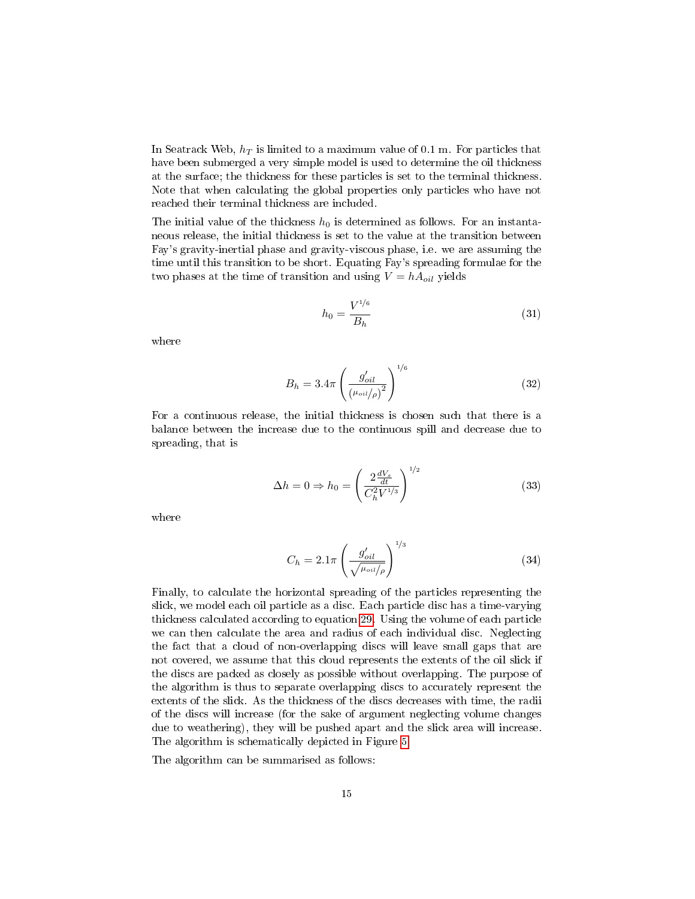In Seatrack Web,  $h_T$  is limited to a maximum value of 0.1 m. For particles that have been submerged a very simple model is used to determine the oil thickness at the surface; the thickness for these particles is set to the terminal thickness. Note that when calculating the global properties only particles who have not reached their terminal thickness are included.

The initial value of the thickness  $h_0$  is determined as follows. For an instantaneous release, the initial thickness is set to the value at the transition between Fay's gravity-inertial phase and gravity-viscous phase, i.e. we are assuming the time until this transition to be short. Equating Fay's spreading formulae for the two phases at the time of transition and using  $V = h A_{oil}$  yields

$$
h_0 = \frac{V^{1/6}}{B_h} \tag{31}
$$

where

$$
B_h = 3.4\pi \left(\frac{g'_{oil}}{(\mu_{oil}/\rho)^2}\right)^{1/6}
$$
 (32)

For a continuous release, the initial thickness is chosen such that there is a balance between the increase due to the continuous spill and decrease due to spreading, that is

$$
\Delta h = 0 \Rightarrow h_0 = \left(\frac{2\frac{dV_s}{dt}}{C_h^2 V^{1/3}}\right)^{1/2} \tag{33}
$$

where

$$
C_h = 2.1\pi \left(\frac{g'_{oil}}{\sqrt{\mu_{oil/\rho}}}\right)^{1/3} \tag{34}
$$

Finally, to calculate the horizontal spreading of the particles representing the slick, we model each oil particle as a disc. Each particle disc has a time-varying thickness calculated according to equation [29.](#page-13-2) Using the volume of each particle we can then calculate the area and radius of each individual disc. Neglecting the fact that a cloud of non-overlapping discs will leave small gaps that are not covered, we assume that this cloud represents the extents of the oil slick if the discs are packed as closely as possible without overlapping. The purpose of the algorithm is thus to separate overlapping discs to accurately represent the extents of the slick. As the thickness of the discs decreases with time, the radii of the discs will increase (for the sake of argument neglecting volume changes due to weathering), they will be pushed apart and the slick area will increase. The algorithm is schematically depicted in Figure [5.](#page-15-0)

The algorithm can be summarised as follows: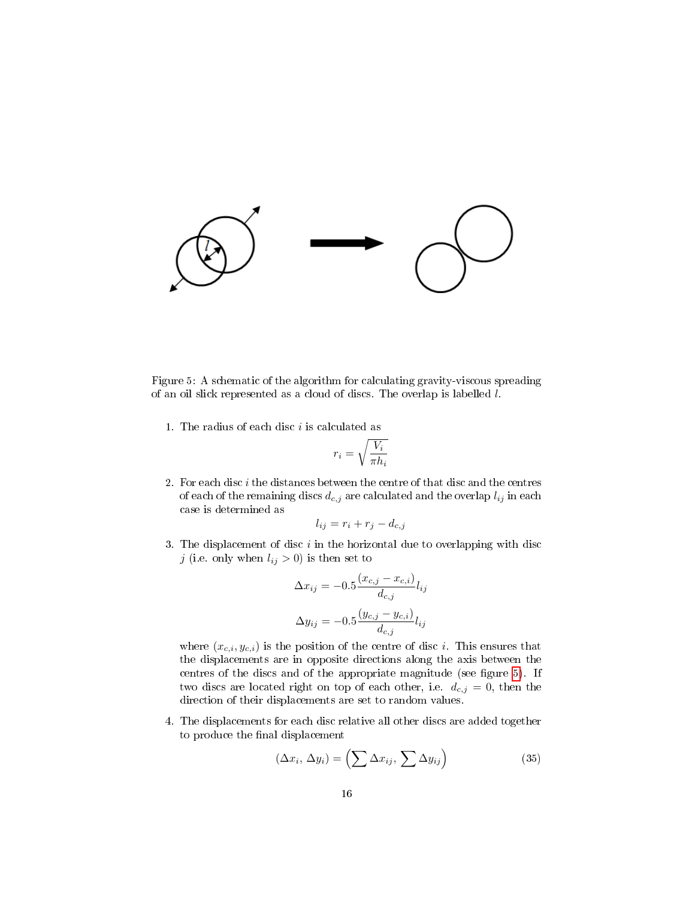

<span id="page-15-0"></span>Figure 5: A schematic of the algorithm for calculating gravity-viscous spreading of an oil slick represented as a cloud of discs. The overlap is labelled l.

1. The radius of each disc  $i$  is calculated as

$$
r_i = \sqrt{\frac{V_i}{\pi h_i}}
$$

2. For each disc  $i$  the distances between the centre of that disc and the centres of each of the remaining discs  $\boldsymbol{d_{c,j}}$  are calculated and the overlap  $l_{ij}$  in each case is determined as

$$
l_{ij} = r_i + r_j - d_{c,j}
$$

3. The displacement of disc  $i$  in the horizontal due to overlapping with disc j (i.e. only when  $l_{ij} > 0$ ) is then set to

$$
\Delta x_{ij} = -0.5 \frac{(x_{c,j} - x_{c,i})}{d_{c,j}} l_{ij}
$$

$$
\Delta y_{ij} = -0.5 \frac{(y_{c,j} - y_{c,i})}{d_{c,j}} l_{ij}
$$

where  $(x_{c,i}, y_{c,i})$  is the position of the centre of disc *i*. This ensures that the displacements are in opposite directions along the axis between the centres of the discs and of the appropriate magnitude (see figure  $5$ ). If two discs are located right on top of each other, i.e.  $d_{c,j} = 0$ , then the direction of their displacements are set to random values.

4. The displacements for each disc relative all other discs are added together to produce the final displacement

$$
(\Delta x_i, \Delta y_i) = \left(\sum \Delta x_{ij}, \sum \Delta y_{ij}\right) \tag{35}
$$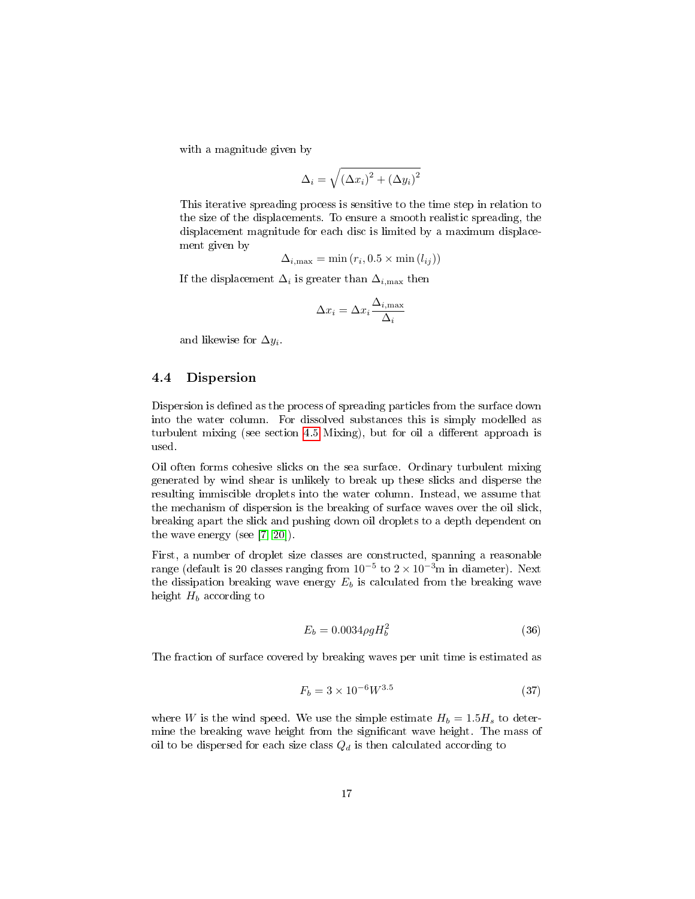with a magnitude given by

$$
\Delta_i = \sqrt{\left(\Delta x_i\right)^2 + \left(\Delta y_i\right)^2}
$$

This iterative spreading process is sensitive to the time step in relation to the size of the displacements. To ensure a smooth realistic spreading, the displacement magnitude for each disc is limited by a maximum displacement given by

$$
\Delta_{i,\text{max}} = \min(r_i, 0.5 \times \min(l_{ij}))
$$

If the displacement  $\Delta_i$  is greater than  $\Delta_{i,\text{max}}$  then

$$
\Delta x_i = \Delta x_i \frac{\Delta_{i,\max}}{\Delta_i}
$$

and likewise for  $\Delta y_i$ .

## <span id="page-16-0"></span>4.4 Dispersion

Dispersion is defined as the process of spreading particles from the surface down into the water column. For dissolved substances this is simply modelled as turbulent mixing (see section [4.5](#page-17-0) Mixing), but for oil a different approach is used.

Oil often forms cohesive slicks on the sea surface. Ordinary turbulent mixing generated by wind shear is unlikely to break up these slicks and disperse the resulting immiscible droplets into the water column. Instead, we assume that the mechanism of dispersion is the breaking of surface waves over the oil slick, breaking apart the slick and pushing down oil droplets to a depth dependent on the wave energy (see [\[7,](#page-29-8) [20\]](#page-30-6)).

First, a number of droplet size classes are constructed, spanning a reasonable range (default is 20 classes ranging from  $10^{-5}$  to  $2 \times 10^{-3}$ m in diameter). Next the dissipation breaking wave energy  $E_b$  is calculated from the breaking wave height  $H_b$  according to

$$
E_b = 0.0034 \rho g H_b^2 \tag{36}
$$

The fraction of surface covered by breaking waves per unit time is estimated as

$$
F_b = 3 \times 10^{-6} W^{3.5} \tag{37}
$$

where W is the wind speed. We use the simple estimate  $H_b = 1.5H_s$  to determine the breaking wave height from the signicant wave height. The mass of oil to be dispersed for each size class  $Q_d$  is then calculated according to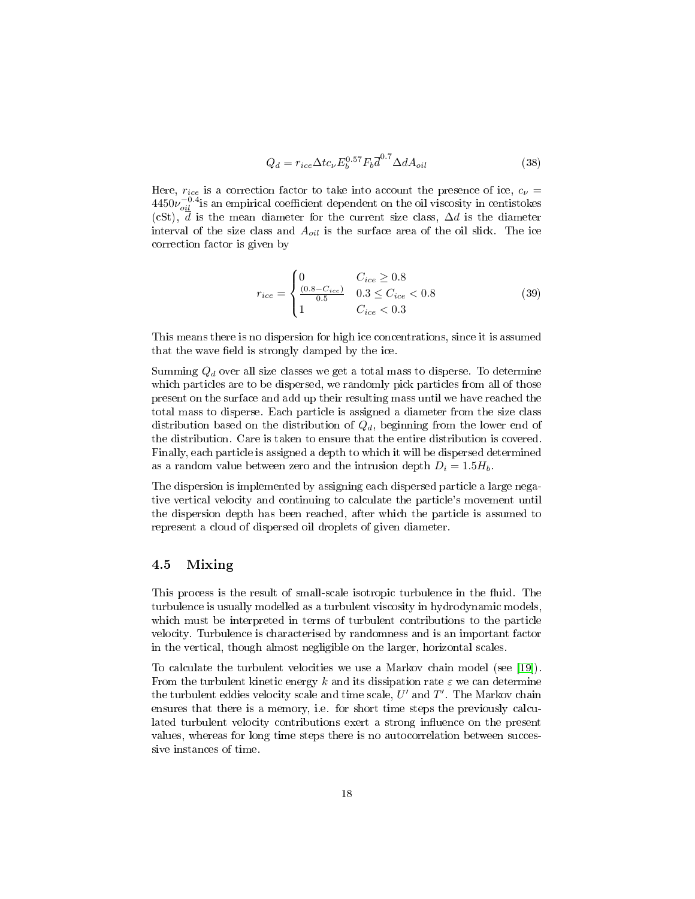$$
Q_d = r_{ice} \Delta t c_{\nu} E_b^{0.57} F_b \overline{d}^{0.7} \Delta dA_{oil}
$$
\n(38)

Here,  $r_{ice}$  is a correction factor to take into account the presence of ice,  $c_{\nu}$  =  $4450\nu_{oil}^{-0.4}$  is an empirical coefficient dependent on the oil viscosity in centistokes (cSt),  $\overline{d}$  is the mean diameter for the current size class,  $\Delta d$  is the diameter interval of the size class and  $A_{oil}$  is the surface area of the oil slick. The ice correction factor is given by

<span id="page-17-1"></span>
$$
r_{ice} = \begin{cases} 0 & C_{ice} \ge 0.8\\ \frac{(0.8 - C_{ice})}{0.5} & 0.3 \le C_{ice} < 0.8\\ 1 & C_{ice} < 0.3 \end{cases}
$$
(39)

This means there is no dispersion for high ice concentrations, since it is assumed that the wave field is strongly damped by the ice.

Summing  $Q_d$  over all size classes we get a total mass to disperse. To determine which particles are to be dispersed, we randomly pick particles from all of those present on the surface and add up their resulting mass until we have reached the total mass to disperse. Each particle is assigned a diameter from the size class distribution based on the distribution of  $Q_d$ , beginning from the lower end of the distribution. Care is taken to ensure that the entire distribution is covered. Finally, each particle is assigned a depth to which it will be dispersed determined as a random value between zero and the intrusion depth  $D_i = 1.5H_b$ .

The dispersion is implemented by assigning each dispersed particle a large negative vertical velocity and continuing to calculate the particle's movement until the dispersion depth has been reached, after which the particle is assumed to represent a cloud of dispersed oil droplets of given diameter.

## <span id="page-17-0"></span>4.5 Mixing

This process is the result of small-scale isotropic turbulence in the fluid. The turbulence is usually modelled as a turbulent viscosity in hydrodynamic models, which must be interpreted in terms of turbulent contributions to the particle velocity. Turbulence is characterised by randomness and is an important factor in the vertical, though almost negligible on the larger, horizontal scales.

To calculate the turbulent velocities we use a Markov chain model (see [\[19\]](#page-30-7)). From the turbulent kinetic energy k and its dissipation rate  $\varepsilon$  we can determine the turbulent eddies velocity scale and time scale,  $U'$  and  $T'$ . The Markov chain ensures that there is a memory, i.e. for short time steps the previously calculated turbulent velocity contributions exert a strong influence on the present values, whereas for long time steps there is no autocorrelation between successive instances of time.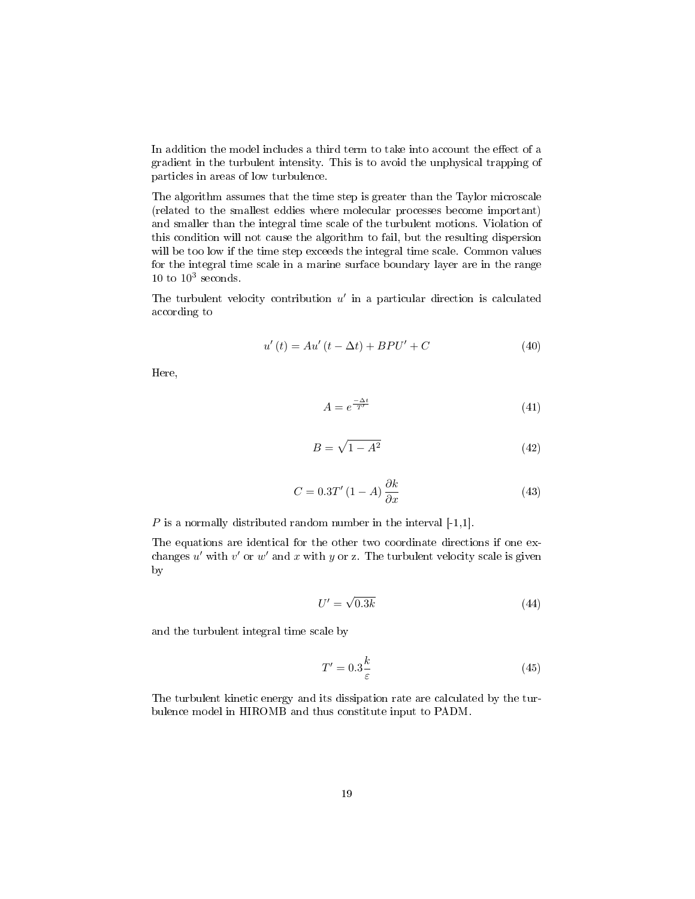In addition the model includes a third term to take into account the effect of a gradient in the turbulent intensity. This is to avoid the unphysical trapping of particles in areas of low turbulence.

The algorithm assumes that the time step is greater than the Taylor microscale (related to the smallest eddies where molecular processes become important) and smaller than the integral time scale of the turbulent motions. Violation of this condition will not cause the algorithm to fail, but the resulting dispersion will be too low if the time step exceeds the integral time scale. Common values for the integral time scale in a marine surface boundary layer are in the range  $10$  to  $10^3$  seconds.

The turbulent velocity contribution  $u'$  in a particular direction is calculated according to

$$
u'(t) = Au'(t - \Delta t) + BPU' + C \tag{40}
$$

Here,

$$
A = e^{\frac{-\Delta t}{T'}} \tag{41}
$$

$$
B = \sqrt{1 - A^2} \tag{42}
$$

$$
C = 0.3T'(1 - A)\frac{\partial k}{\partial x}
$$
\n(43)

 $P$  is a normally distributed random number in the interval  $[-1,1]$ .

The equations are identical for the other two coordinate directions if one exchanges  $u'$  with  $v'$  or  $w'$  and x with y or z. The turbulent velocity scale is given by

$$
U' = \sqrt{0.3k} \tag{44}
$$

and the turbulent integral time scale by

$$
T' = 0.3 \frac{k}{\varepsilon} \tag{45}
$$

The turbulent kinetic energy and its dissipation rate are calculated by the turbulence model in HIROMB and thus constitute input to PADM.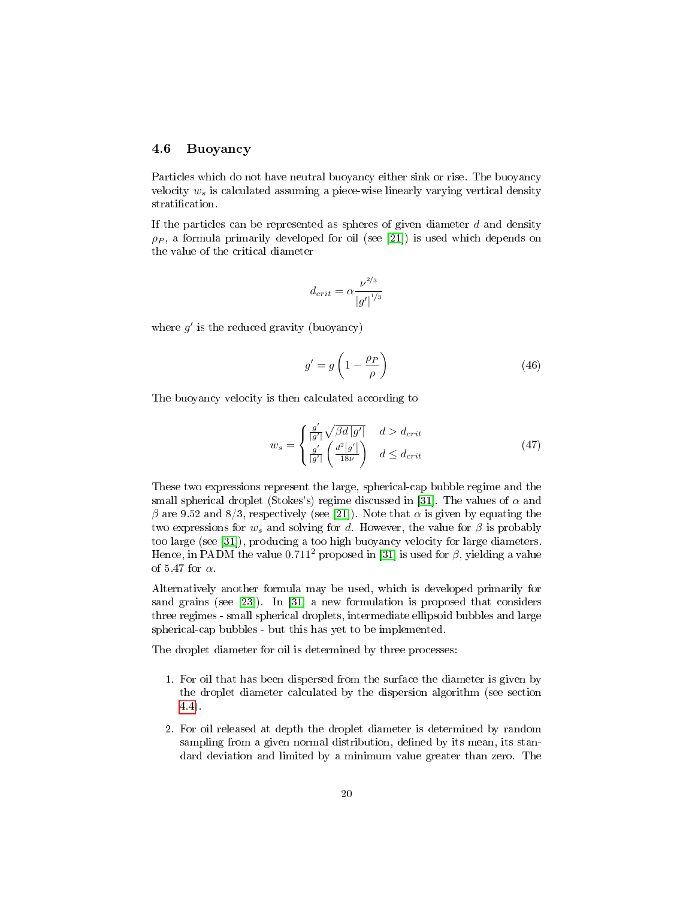## 4.6 Buoyancy

Particles which do not have neutral buoyancy either sink or rise. The buoyancy velocity  $w_s$  is calculated assuming a piece-wise linearly varying vertical density stratification.

If the particles can be represented as spheres of given diameter  $d$  and density  $\rho_P$ , a formula primarily developed for oil (see [\[21\]](#page-30-8)) is used which depends on the value of the critical diameter

$$
d_{crit}=\alpha\frac{\nu^{2/3}}{\left|g'\right|^{1/3}}
$$

where  $g'$  is the reduced gravity (buoyancy)

$$
g' = g \left( 1 - \frac{\rho_P}{\rho} \right) \tag{46}
$$

The buoyancy velocity is then calculated according to

$$
w_s = \begin{cases} \frac{g'}{|g'|} \sqrt{\beta d |g'|} & d > d_{crit} \\ \frac{g'}{|g'|} \left(\frac{d^2 |g'|}{18\nu}\right) & d \le d_{crit} \end{cases}
$$
(47)

These two expressions represent the large, spherical-cap bubble regime and the small spherical droplet (Stokes's) regime discussed in [\[31\]](#page-31-5). The values of  $\alpha$  and β are 9.52 and 8/3, respectively (see [\[21\]](#page-30-8)). Note that  $\alpha$  is given by equating the two expressions for  $w_s$  and solving for d. However, the value for  $\beta$  is probably too large (see [\[31\]](#page-31-5)), producing a too high buoyancy velocity for large diameters. Hence, in PADM the value 0.711<sup>2</sup> proposed in [\[31\]](#page-31-5) is used for  $\beta$ , yielding a value of 5.47 for  $\alpha$ .

Alternatively another formula may be used, which is developed primarily for sand grains (see [\[23\]](#page-30-9)). In [\[31\]](#page-31-5) a new formulation is proposed that considers three regimes - small spherical droplets, intermediate ellipsoid bubbles and large spherical-cap bubbles - but this has yet to be implemented.

The droplet diameter for oil is determined by three processes:

- 1. For oil that has been dispersed from the surface the diameter is given by the droplet diameter calculated by the dispersion algorithm (see section [4.4\)](#page-16-0).
- 2. For oil released at depth the droplet diameter is determined by random sampling from a given normal distribution, defined by its mean, its standard deviation and limited by a minimum value greater than zero. The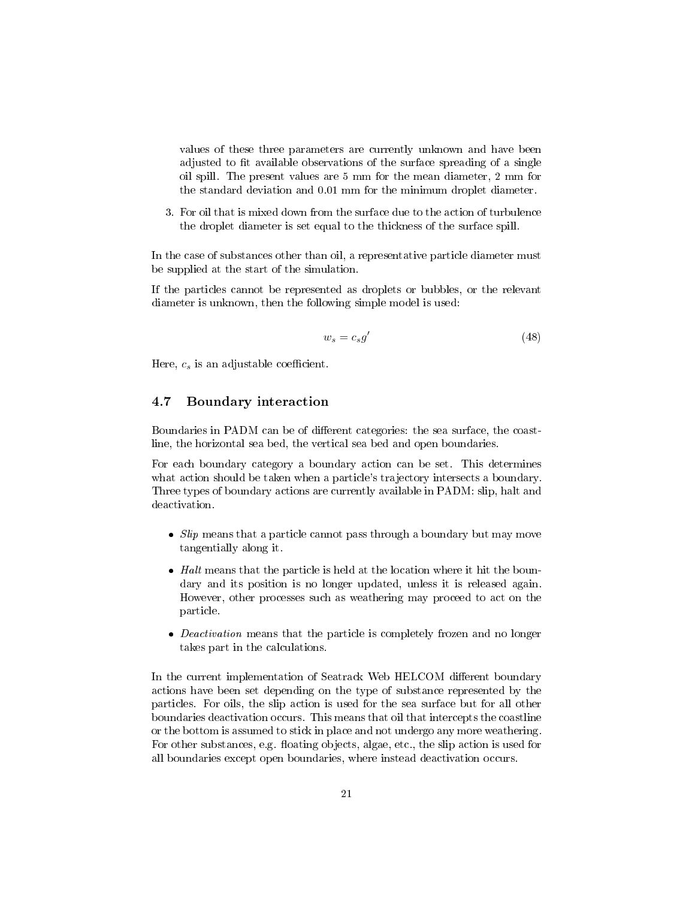values of these three parameters are currently unknown and have been adjusted to fit available observations of the surface spreading of a single oil spill. The present values are 5 mm for the mean diameter, 2 mm for the standard deviation and 0.01 mm for the minimum droplet diameter.

3. For oil that is mixed down from the surface due to the action of turbulence the droplet diameter is set equal to the thickness of the surface spill.

In the case of substances other than oil, a representative particle diameter must be supplied at the start of the simulation.

If the particles cannot be represented as droplets or bubbles, or the relevant diameter is unknown, then the following simple model is used:

$$
w_s = c_s g' \tag{48}
$$

Here,  $c_s$  is an adjustable coefficient.

## 4.7 Boundary interaction

Boundaries in PADM can be of different categories: the sea surface, the coastline, the horizontal sea bed, the vertical sea bed and open boundaries.

For each boundary category a boundary action can be set. This determines what action should be taken when a particle's trajectory intersects a boundary. Three types of boundary actions are currently available in PADM: slip, halt and deactivation.

- $\bullet$  *Slip* means that a particle cannot pass through a boundary but may move tangentially along it.
- $\bullet$  Halt means that the particle is held at the location where it hit the boundary and its position is no longer updated, unless it is released again. However, other processes such as weathering may proceed to act on the particle.
- Deactivation means that the particle is completely frozen and no longer takes part in the calculations.

In the current implementation of Seatrack Web HELCOM different boundary actions have been set depending on the type of substance represented by the particles. For oils, the slip action is used for the sea surface but for all other boundaries deactivation occurs. This means that oil that intercepts the coastline or the bottom is assumed to stick in place and not undergo any more weathering. For other substances, e.g. floating objects, algae, etc., the slip action is used for all boundaries except open boundaries, where instead deactivation occurs.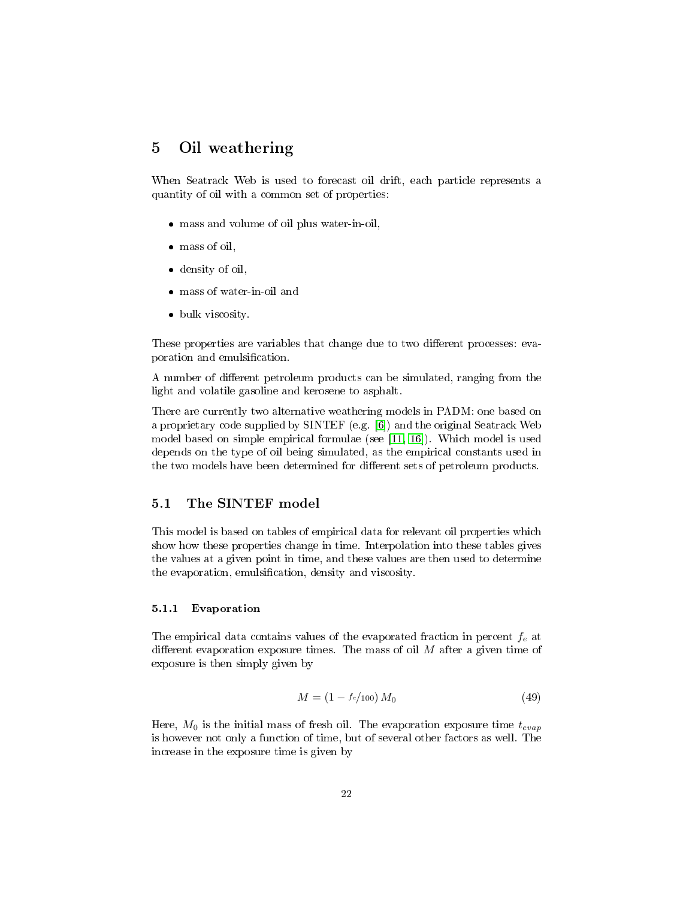# <span id="page-21-0"></span>5 Oil weathering

When Seatrack Web is used to forecast oil drift, each particle represents a quantity of oil with a common set of properties:

- mass and volume of oil plus water-in-oil,
- mass of oil,
- density of oil,
- mass of water-in-oil and
- bulk viscosity.

These properties are variables that change due to two different processes: evaporation and emulsification.

A number of different petroleum products can be simulated, ranging from the light and volatile gasoline and kerosene to asphalt.

There are currently two alternative weathering models in PADM: one based on a proprietary code supplied by SINTEF (e.g. [\[6\]](#page-29-9)) and the original Seatrack Web model based on simple empirical formulae (see [\[11,](#page-29-10) [16\]](#page-30-10)). Which model is used depends on the type of oil being simulated, as the empirical constants used in the two models have been determined for different sets of petroleum products.

## 5.1 The SINTEF model

This model is based on tables of empirical data for relevant oil properties which show how these properties change in time. Interpolation into these tables gives the values at a given point in time, and these values are then used to determine the evaporation, emulsification, density and viscosity.

#### <span id="page-21-1"></span>5.1.1 Evaporation

The empirical data contains values of the evaporated fraction in percent  $f_e$  at different evaporation exposure times. The mass of oil  $M$  after a given time of exposure is then simply given by

$$
M = (1 - \frac{f_e}{100}) M_0 \tag{49}
$$

Here,  $M_0$  is the initial mass of fresh oil. The evaporation exposure time  $t_{evap}$ is however not only a function of time, but of several other factors as well. The increase in the exposure time is given by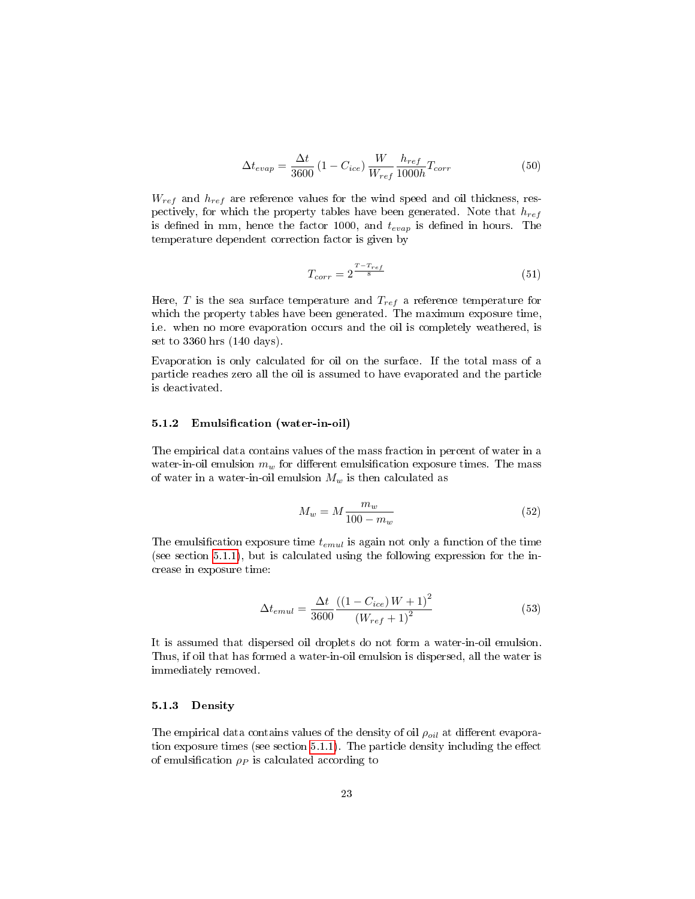$$
\Delta t_{evap} = \frac{\Delta t}{3600} \left( 1 - C_{ice} \right) \frac{W}{W_{ref}} \frac{h_{ref}}{1000h} T_{corr}
$$
\n
$$
\tag{50}
$$

 $W_{ref}$  and  $h_{ref}$  are reference values for the wind speed and oil thickness, respectively, for which the property tables have been generated. Note that  $h_{ref}$ is defined in mm, hence the factor 1000, and  $t_{evap}$  is defined in hours. The temperature dependent correction factor is given by

$$
T_{corr} = 2^{\frac{T - T_{ref}}{8}}
$$
\n<sup>(51)</sup>

Here, T is the sea surface temperature and  $T_{ref}$  a reference temperature for which the property tables have been generated. The maximum exposure time, i.e. when no more evaporation occurs and the oil is completely weathered, is set to 3360 hrs (140 days).

Evaporation is only calculated for oil on the surface. If the total mass of a particle reaches zero all the oil is assumed to have evaporated and the particle is deactivated.

#### <span id="page-22-0"></span>5.1.2 Emulsification (water-in-oil)

The empirical data contains values of the mass fraction in percent of water in a water-in-oil emulsion  $m_w$  for different emulsification exposure times. The mass of water in a water-in-oil emulsion  $M_w$  is then calculated as

$$
M_w = M \frac{m_w}{100 - m_w} \tag{52}
$$

The emulsification exposure time  $t_{emul}$  is again not only a function of the time (see section [5.1.1\)](#page-21-1), but is calculated using the following expression for the increase in exposure time:

$$
\Delta t_{emul} = \frac{\Delta t}{3600} \frac{\left( (1 - C_{ice}) W + 1 \right)^2}{\left( W_{ref} + 1 \right)^2} \tag{53}
$$

It is assumed that dispersed oil droplets do not form a water-in-oil emulsion. Thus, if oil that has formed a water-in-oil emulsion is dispersed, all the water is immediately removed.

#### 5.1.3 Density

The empirical data contains values of the density of oil  $\rho_{oil}$  at different evaporation exposure times (see section  $5.1.1$ ). The particle density including the effect of emulsification  $\rho_P$  is calculated according to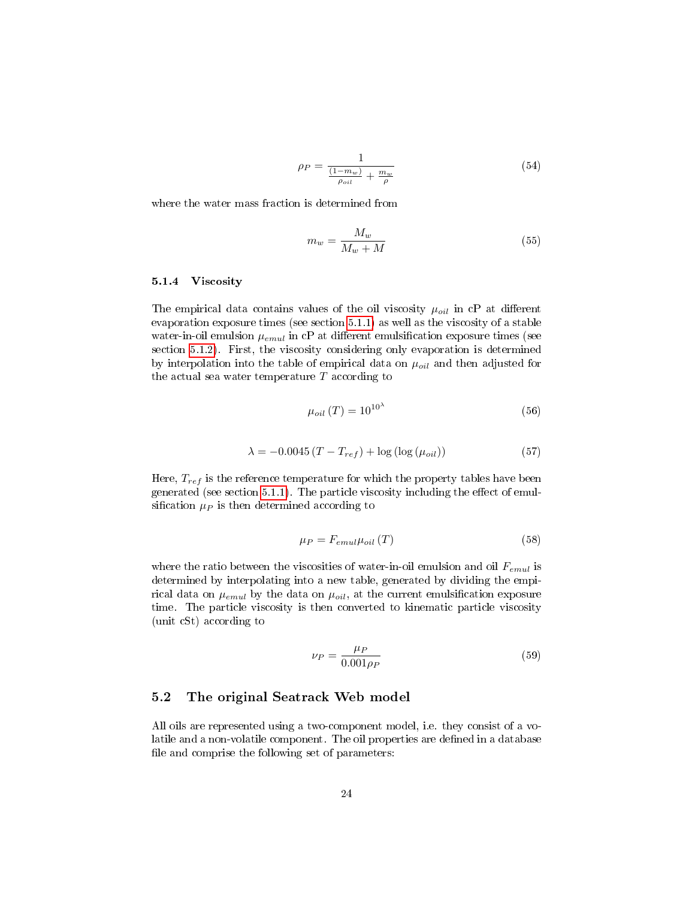$$
\rho_P = \frac{1}{\frac{(1 - m_w)}{\rho_{oil}} + \frac{m_w}{\rho}} \tag{54}
$$

where the water mass fraction is determined from

$$
m_w = \frac{M_w}{M_w + M} \tag{55}
$$

#### 5.1.4 Viscosity

The empirical data contains values of the oil viscosity  $\mu_{oil}$  in cP at different evaporation exposure times (see section [5.1.1\)](#page-21-1) as well as the viscosity of a stable water-in-oil emulsion  $\mu_{emul}$  in cP at different emulsification exposure times (see section [5.1.2\)](#page-22-0). First, the viscosity considering only evaporation is determined by interpolation into the table of empirical data on  $\mu_{oil}$  and then adjusted for the actual sea water temperature  $T$  according to

$$
\mu_{oil} (T) = 10^{10^{\lambda}} \tag{56}
$$

$$
\lambda = -0.0045 \left( T - T_{ref} \right) + \log \left( \log \left( \mu_{oil} \right) \right) \tag{57}
$$

Here,  $T_{ref}$  is the reference temperature for which the property tables have been generated (see section  $5.1.1$ ). The particle viscosity including the effect of emulsification  $\mu_P$  is then determined according to

$$
\mu_P = F_{emul}\mu_{oil} (T) \tag{58}
$$

where the ratio between the viscosities of water-in-oil emulsion and oil  $F_{emul}$  is determined by interpolating into a new table, generated by dividing the empirical data on  $\mu_{emul}$  by the data on  $\mu_{oil}$ , at the current emulsification exposure time. The particle viscosity is then converted to kinematic particle viscosity (unit cSt) according to

$$
\nu_P = \frac{\mu_P}{0.001\rho_P} \tag{59}
$$

## 5.2 The original Seatrack Web model

All oils are represented using a two-component model, i.e. they consist of a volatile and a non-volatile component. The oil properties are defined in a database file and comprise the following set of parameters: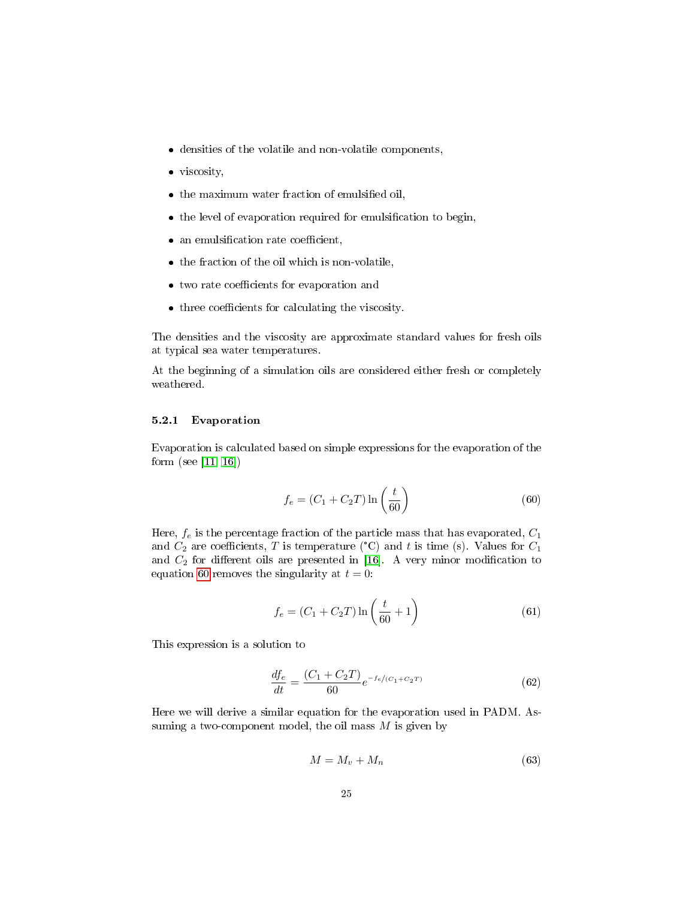- densities of the volatile and non-volatile components,
- viscosity,
- $\bullet$  the maximum water fraction of emulsified oil,
- $\bullet$  the level of evaporation required for emulsification to begin,
- $\bullet$  an emulsification rate coefficient,
- the fraction of the oil which is non-volatile,
- $\bullet\,$  two rate coefficients for evaporation and
- $\bullet$  three coefficients for calculating the viscosity.

The densities and the viscosity are approximate standard values for fresh oils at typical sea water temperatures.

At the beginning of a simulation oils are considered either fresh or completely weathered.

#### 5.2.1 Evaporation

Evaporation is calculated based on simple expressions for the evaporation of the form (see [\[11,](#page-29-10) [16\]](#page-30-10))

<span id="page-24-0"></span>
$$
f_e = (C_1 + C_2T) \ln\left(\frac{t}{60}\right) \tag{60}
$$

Here,  $f_e$  is the percentage fraction of the particle mass that has evaporated,  $C_1$ and  $C_2$  are coefficients, T is temperature (°C) and t is time (s). Values for  $C_1$ and  $C_2$  for different oils are presented in [\[16\]](#page-30-10). A very minor modification to equation [60](#page-24-0) removes the singularity at  $t = 0$ :

$$
f_e = (C_1 + C_2T) \ln\left(\frac{t}{60} + 1\right)
$$
 (61)

This expression is a solution to

<span id="page-24-1"></span>
$$
\frac{df_e}{dt} = \frac{(C_1 + C_2 T)}{60} e^{-f_e/(C_1 + C_2 T)}\tag{62}
$$

Here we will derive a similar equation for the evaporation used in PADM. Assuming a two-component model, the oil mass  $M$  is given by

$$
M = M_v + M_n \tag{63}
$$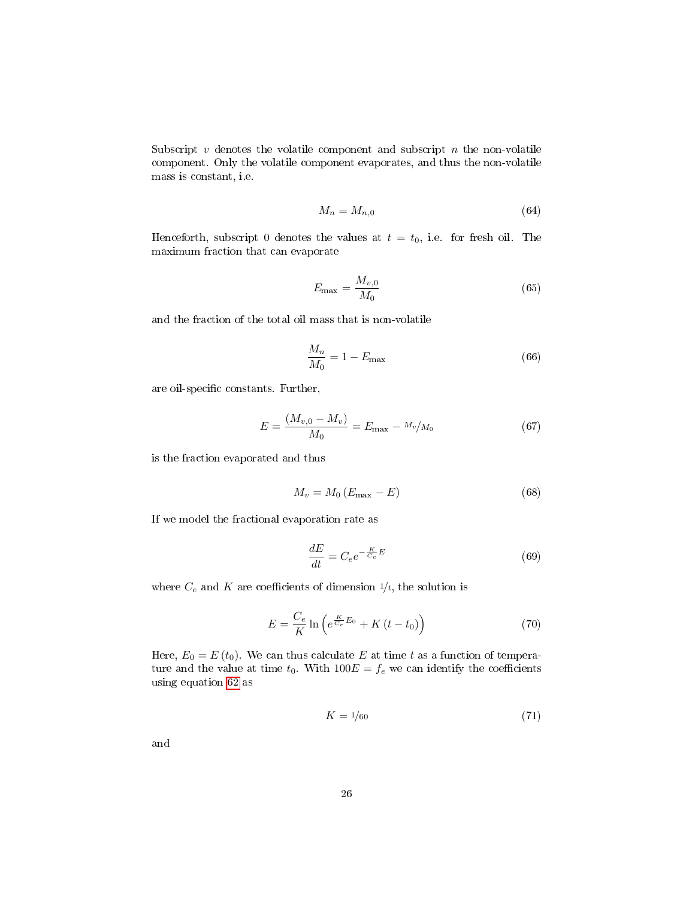Subscript  $v$  denotes the volatile component and subscript  $n$  the non-volatile component. Only the volatile component evaporates, and thus the non-volatile mass is constant, i.e.

$$
M_n = M_{n,0} \tag{64}
$$

Henceforth, subscript 0 denotes the values at  $t = t_0$ , i.e. for fresh oil. The maximum fraction that can evaporate

$$
E_{\text{max}} = \frac{M_{v,0}}{M_0} \tag{65}
$$

and the fraction of the total oil mass that is non-volatile

$$
\frac{M_n}{M_0} = 1 - E_{\text{max}} \tag{66}
$$

are oil-specific constants. Further,

$$
E = \frac{(M_{v,0} - M_v)}{M_0} = E_{\text{max}} - \frac{M_v}{M_0} \tag{67}
$$

is the fraction evaporated and thus

<span id="page-25-0"></span>
$$
M_v = M_0 \left( E_{\text{max}} - E \right) \tag{68}
$$

If we model the fractional evaporation rate as

$$
\frac{dE}{dt} = C_e e^{-\frac{K}{C_e}E}
$$
\n(69)

where  $C_e$  and K are coefficients of dimension  $1/t$ , the solution is

$$
E = \frac{C_e}{K} \ln \left( e^{\frac{K}{C_e} E_0} + K \left( t - t_0 \right) \right) \tag{70}
$$

Here,  $E_0 = E(t_0)$ . We can thus calculate E at time t as a function of temperature and the value at time  $t_0$ . With  $100E = f_e$  we can identify the coefficients using equation [62](#page-24-1) as

$$
K = 1/60\tag{71}
$$

and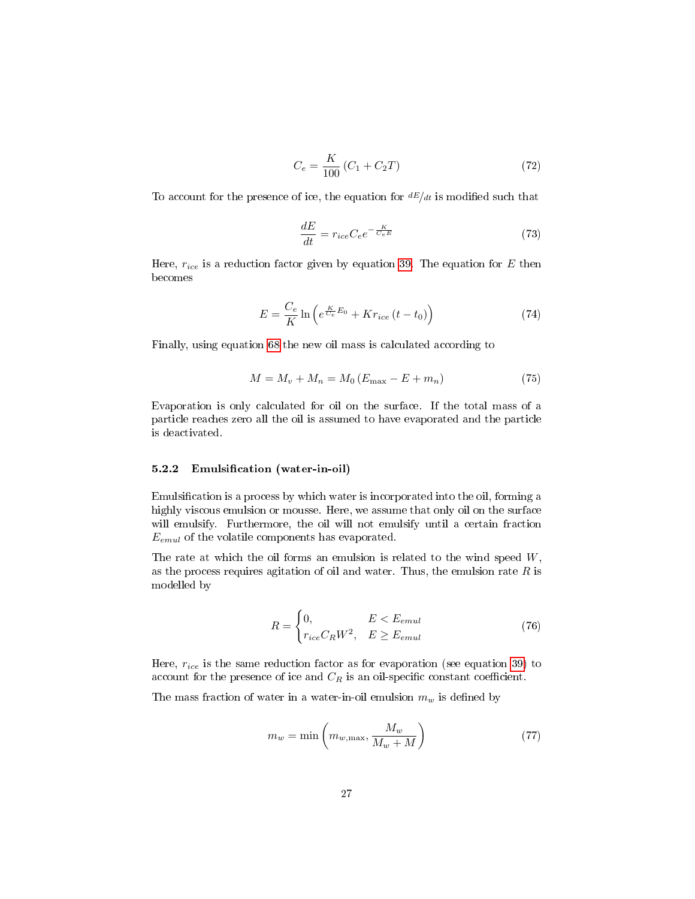$$
C_e = \frac{K}{100} (C_1 + C_2 T) \tag{72}
$$

To account for the presence of ice, the equation for  $dE/dt$  is modified such that

$$
\frac{dE}{dt} = r_{ice}C_e e^{-\frac{K}{C_e E}}\tag{73}
$$

Here,  $r_{ice}$  is a reduction factor given by equation [39.](#page-17-1) The equation for E then becomes

$$
E = \frac{C_e}{K} \ln \left( e^{\frac{K}{C_e} E_0} + K r_{ice} \left( t - t_0 \right) \right) \tag{74}
$$

Finally, using equation [68](#page-25-0) the new oil mass is calculated according to

$$
M = M_v + M_n = M_0 (E_{\text{max}} - E + m_n)
$$
 (75)

Evaporation is only calculated for oil on the surface. If the total mass of a particle reaches zero all the oil is assumed to have evaporated and the particle is deactivated.

## 5.2.2 Emulsification (water-in-oil)

Emulsification is a process by which water is incorporated into the oil, forming a highly viscous emulsion or mousse. Here, we assume that only oil on the surface will emulsify. Furthermore, the oil will not emulsify until a certain fraction  $E_{emul}$  of the volatile components has evaporated.

The rate at which the oil forms an emulsion is related to the wind speed  $W$ , as the process requires agitation of oil and water. Thus, the emulsion rate  $R$  is modelled by

$$
R = \begin{cases} 0, & E < E_{emul} \\ r_{ice} C_R W^2, & E \ge E_{emul} \end{cases} \tag{76}
$$

Here,  $r_{ice}$  is the same reduction factor as for evaporation (see equation [39\)](#page-17-1) to account for the presence of ice and  $C_R$  is an oil-specific constant coefficient.

The mass fraction of water in a water-in-oil emulsion  $m_w$  is defined by

<span id="page-26-0"></span>
$$
m_w = \min\left(m_{w,\text{max}}, \frac{M_w}{M_w + M}\right) \tag{77}
$$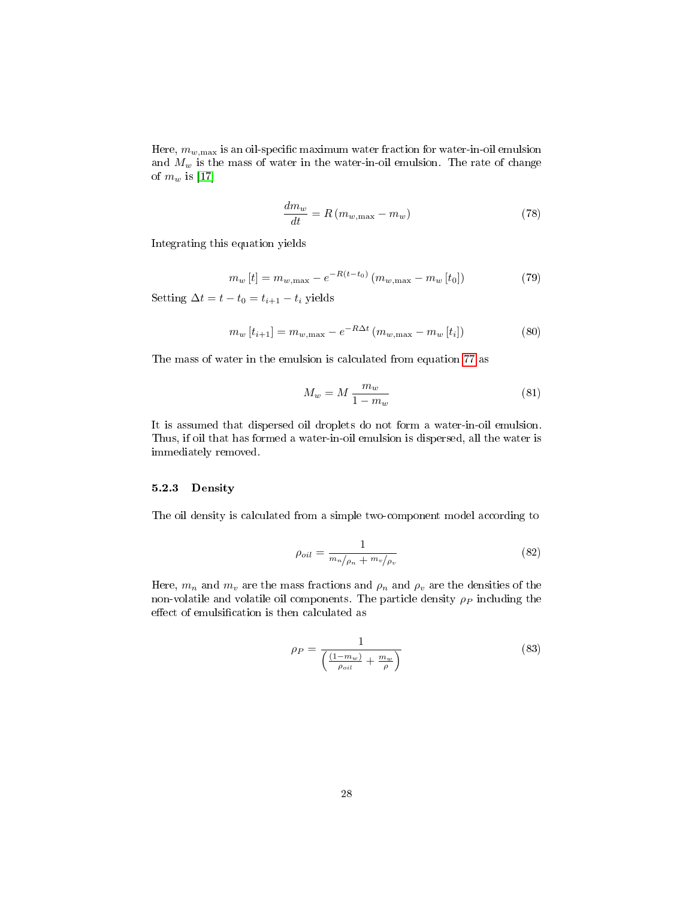Here,  $m_{w,\text{max}}$  is an oil-specific maximum water fraction for water-in-oil emulsion and  $M_w$  is the mass of water in the water-in-oil emulsion. The rate of change of  $m_w$  is [\[17\]](#page-30-5)

$$
\frac{dm_w}{dt} = R(m_{w,\text{max}} - m_w) \tag{78}
$$

Integrating this equation yields

$$
m_w[t] = m_{w, \max} - e^{-R(t-t_0)} \left( m_{w, \max} - m_w[t_0] \right) \tag{79}
$$

Setting  $\Delta t = t - t_0 = t_{i+1} - t_i$  yields

$$
m_w[t_{i+1}] = m_{w,\text{max}} - e^{-R\Delta t} (m_{w,\text{max}} - m_w[t_i])
$$
\n(80)

The mass of water in the emulsion is calculated from equation [77](#page-26-0) as

$$
M_w = M \frac{m_w}{1 - m_w} \tag{81}
$$

It is assumed that dispersed oil droplets do not form a water-in-oil emulsion. Thus, if oil that has formed a water-in-oil emulsion is dispersed, all the water is immediately removed.

## 5.2.3 Density

The oil density is calculated from a simple two-component model according to

$$
\rho_{oil} = \frac{1}{m_n/\rho_n + m_v/\rho_v} \tag{82}
$$

Here,  $m_n$  and  $m_v$  are the mass fractions and  $\rho_n$  and  $\rho_v$  are the densities of the non-volatile and volatile oil components. The particle density  $\rho_P$  including the effect of emulsification is then calculated as

$$
\rho_P = \frac{1}{\left(\frac{(1 - m_w)}{\rho_{oil}} + \frac{m_w}{\rho}\right)}\tag{83}
$$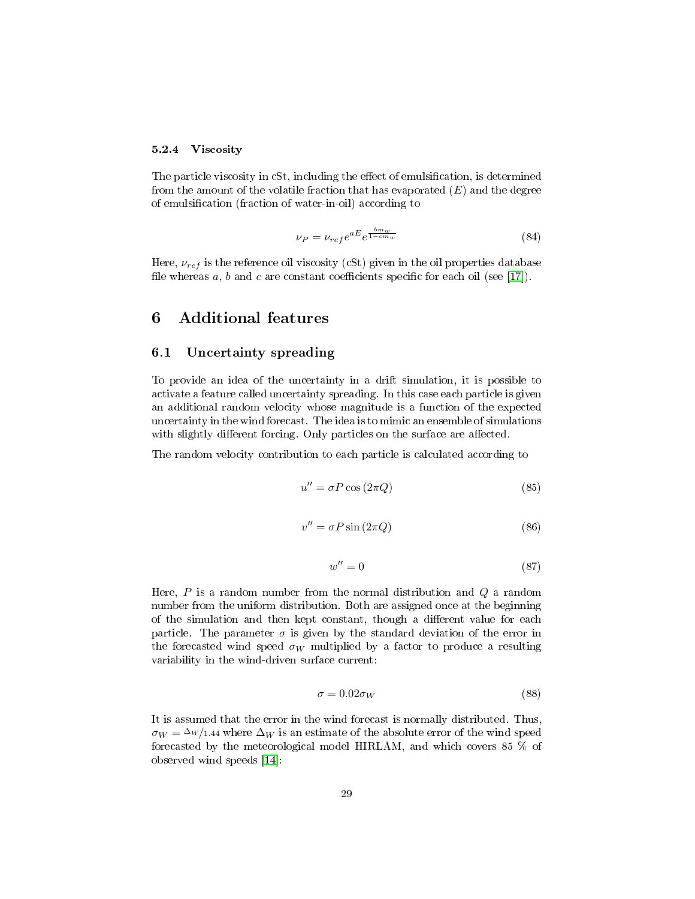#### 5.2.4 Viscosity

The particle viscosity in cSt, including the effect of emulsification, is determined from the amount of the volatile fraction that has evaporated  $(E)$  and the degree of emulsification (fraction of water-in-oil) according to

$$
\nu_P = \nu_{ref} e^{aE} e^{\frac{b m_w}{1 - cm_w}} \tag{84}
$$

Here,  $\nu_{ref}$  is the reference oil viscosity (cSt) given in the oil properties database file whereas a, b and c are constant coefficients specific for each oil (see [\[17\]](#page-30-5)).

# 6 Additional features

## 6.1 Uncertainty spreading

To provide an idea of the uncertainty in a drift simulation, it is possible to activate a feature called uncertainty spreading. In this case each particle is given an additional random velocity whose magnitude is a function of the expected uncertainty in the wind forecast. The idea is to mimic an ensemble of simulations with slightly different forcing. Only particles on the surface are affected.

The random velocity contribution to each particle is calculated according to

$$
u'' = \sigma P \cos(2\pi Q) \tag{85}
$$

$$
v'' = \sigma P \sin(2\pi Q) \tag{86}
$$

$$
w'' = 0 \tag{87}
$$

Here,  $P$  is a random number from the normal distribution and  $Q$  a random number from the uniform distribution. Both are assigned once at the beginning of the simulation and then kept constant, though a different value for each particle. The parameter  $\sigma$  is given by the standard deviation of the error in the forecasted wind speed  $\sigma_W$  multiplied by a factor to produce a resulting variability in the wind-driven surface current:

$$
\sigma = 0.02 \sigma_W \tag{88}
$$

It is assumed that the error in the wind forecast is normally distributed. Thus,  $\sigma_W = \frac{\Delta w}{1.44}$  where  $\Delta_W$  is an estimate of the absolute error of the wind speed forecasted by the meteorological model HIRLAM, and which covers 85 % of observed wind speeds [\[14\]](#page-30-11):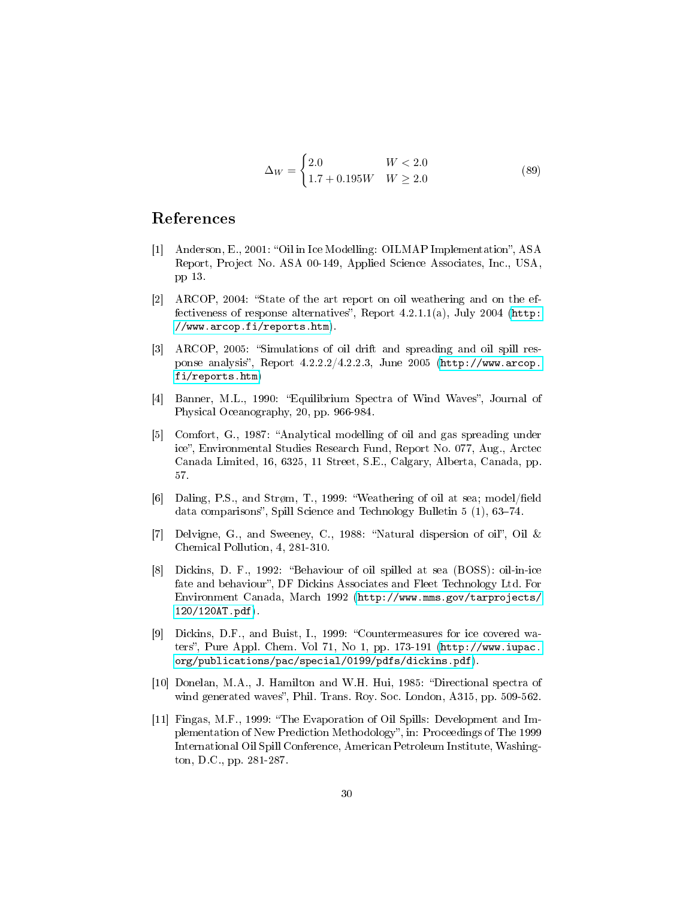$$
\Delta_W = \begin{cases} 2.0 & W < 2.0 \\ 1.7 + 0.195W & W \ge 2.0 \end{cases}
$$
 (89)

# References

- <span id="page-29-0"></span>[1] Anderson, E., 2001: "Oil in Ice Modelling: OILMAP Implementation", ASA Report, Project No. ASA 00-149, Applied Science Associates, Inc., USA, pp 13.
- <span id="page-29-1"></span>[2] ARCOP, 2004: "State of the art report on oil weathering and on the effectiveness of response alternatives", Report  $4.2.1.1(a)$ , July 2004 [\(http:](http://www.arcop.fi/reports.htm) [//www.arcop.fi/reports.htm\)](http://www.arcop.fi/reports.htm).
- <span id="page-29-2"></span>[3] ARCOP, 2005: "Simulations of oil drift and spreading and oil spill response analysis", Report  $4.2.2.2/4.2.2.3$ , June 2005 [\(http://www.arcop.](http://www.arcop.fi/reports.htm) [fi/reports.htm\)](http://www.arcop.fi/reports.htm)
- <span id="page-29-7"></span>[4] Banner, M.L., 1990: "Equilibrium Spectra of Wind Waves", Journal of Physical Oceanography, 20, pp. 966-984.
- <span id="page-29-3"></span>[5] Comfort, G., 1987: "Analytical modelling of oil and gas spreading under ice", Environmental Studies Research Fund, Report No. 077, Aug., Arctec Canada Limited, 16, 6325, 11 Street, S.E., Calgary, Alberta, Canada, pp. 57.
- <span id="page-29-9"></span>[6] Daling, P.S., and Strøm, T., 1999: "Weathering of oil at sea; model/field data comparisons", Spill Science and Technology Bulletin  $5(1)$ , 63-74.
- <span id="page-29-8"></span>[7] Delvigne, G., and Sweeney, C., 1988: "Natural dispersion of oil", Oil  $&$ Chemical Pollution, 4, 281-310.
- <span id="page-29-5"></span>[8] Dickins, D. F., 1992: "Behaviour of oil spilled at sea (BOSS): oil-in-ice fate and behaviour", DF Dickins Associates and Fleet Technology Ltd. For Environment Canada, March 1992 [\(http://www.mms.gov/tarprojects/](http://www.mms.gov/tarprojects/120/120AT.pdf) [120/120AT.pdf\)](http://www.mms.gov/tarprojects/120/120AT.pdf).
- <span id="page-29-4"></span>[9] Dickins, D.F., and Buist, I., 1999: "Countermeasures for ice covered waters", Pure Appl. Chem. Vol 71, No 1, pp. 173-191  $(\text{http://www.iupac.}$ [org/publications/pac/special/0199/pdfs/dickins.pdf\)](http://www.iupac.org/publications/pac/special/0199/pdfs/dickins.pdf).
- <span id="page-29-6"></span>[10] Donelan, M.A., J. Hamilton and W.H. Hui, 1985: "Directional spectra of wind generated waves", Phil. Trans. Roy. Soc. London, A315, pp. 509-562.
- <span id="page-29-10"></span>[11] Fingas, M.F., 1999: The Evaporation of Oil Spills: Development and Implementation of New Prediction Methodology", in: Proceedings of The 1999 International Oil Spill Conference, American Petroleum Institute, Washington, D.C., pp. 281-287.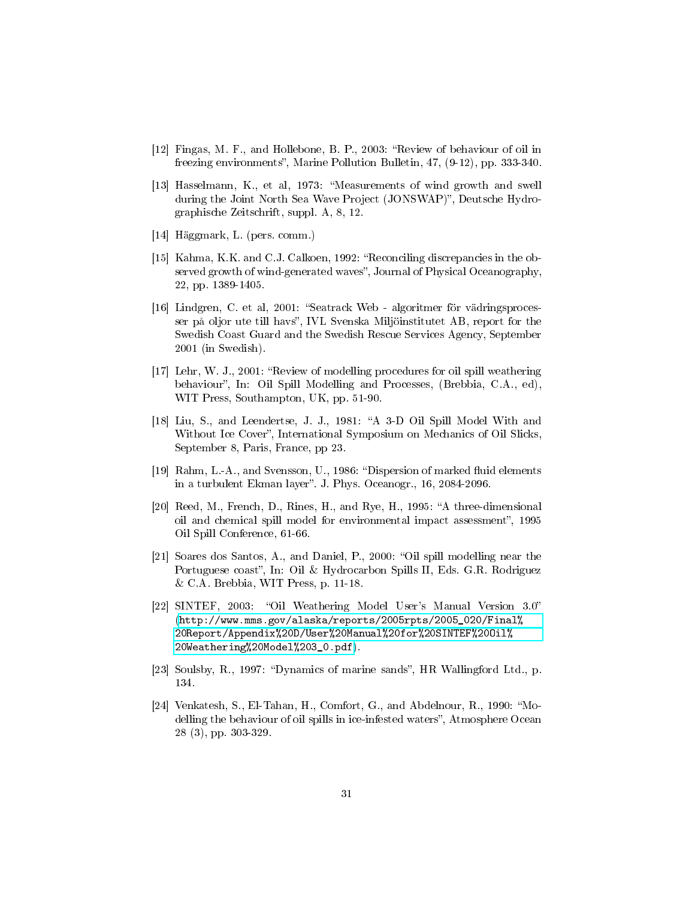- <span id="page-30-0"></span>[12] Fingas, M. F., and Hollebone, B. P., 2003: "Review of behaviour of oil in freezing environments", Marine Pollution Bulletin, 47, (9-12), pp. 333-340.
- [13] Hasselmann, K., et al, 1973: Measurements of wind growth and swell during the Joint North Sea Wave Project (JONSWAP)", Deutsche Hydrographische Zeitschrift, suppl. A, 8, 12.
- <span id="page-30-11"></span>[14] Häggmark, L. (pers. comm.)
- <span id="page-30-4"></span>[15] Kahma, K.K. and C.J. Calkoen, 1992: "Reconciling discrepancies in the observed growth of wind-generated waves", Journal of Physical Oceanography, 22, pp. 1389-1405.
- <span id="page-30-10"></span>[16] Lindgren, C. et al, 2001: Seatrack Web - algoritmer för vädringsprocesser på oljor ute till havs", IVL Svenska Miljöinstitutet AB, report for the Swedish Coast Guard and the Swedish Rescue Services Agency, September 2001 (in Swedish).
- <span id="page-30-5"></span>[17] Lehr, W. J., 2001: "Review of modelling procedures for oil spill weathering behaviour", In: Oil Spill Modelling and Processes, (Brebbia, C.A., ed), WIT Press, Southampton, UK, pp. 51-90.
- <span id="page-30-1"></span>[18] Liu, S., and Leendertse, J. J., 1981: "A 3-D Oil Spill Model With and Without Ice Cover", International Symposium on Mechanics of Oil Slicks, September 8, Paris, France, pp 23.
- <span id="page-30-7"></span>[19] Rahm, L.-A., and Svensson, U., 1986: "Dispersion of marked fluid elements in a turbulent Ekman layer". J. Phys. Oceanogr., 16, 2084-2096.
- <span id="page-30-6"></span>[20] Reed, M., French, D., Rines, H., and Rye, H., 1995: "A three-dimensional oil and chemical spill model for environmental impact assessment", 1995 Oil Spill Conference, 61-66.
- <span id="page-30-8"></span>[21] Soares dos Santos, A., and Daniel, P., 2000: "Oil spill modelling near the Portuguese coast", In: Oil & Hydrocarbon Spills II, Eds. G.R. Rodriguez & C.A. Brebbia, WIT Press, p. 11-18.
- <span id="page-30-2"></span>[22] SINTEF, 2003: "Oil Weathering Model User's Manual Version 3.0" [\(http://www.mms.gov/alaska/reports/2005rpts/2005\\_020/Final%](http://www.mms.gov/alaska/reports/2005rpts/2005_020/Final%20Report/Appendix%20D/User%20Manual%20for%20SINTEF%20Oil%20Weathering%20Model%203_0.pdf) [20Report/Appendix%20D/User%20Manual%20for%20SINTEF%20Oil%](http://www.mms.gov/alaska/reports/2005rpts/2005_020/Final%20Report/Appendix%20D/User%20Manual%20for%20SINTEF%20Oil%20Weathering%20Model%203_0.pdf) [20Weathering%20Model%203\\_0.pdf\)](http://www.mms.gov/alaska/reports/2005rpts/2005_020/Final%20Report/Appendix%20D/User%20Manual%20for%20SINTEF%20Oil%20Weathering%20Model%203_0.pdf).
- <span id="page-30-9"></span>[23] Soulsby, R., 1997: "Dynamics of marine sands", HR Wallingford Ltd., p. 134.
- <span id="page-30-3"></span>[24] Venkatesh, S., El-Tahan, H., Comfort, G., and Abdelnour, R., 1990: "Modelling the behaviour of oil spills in ice-infested waters", Atmosphere Ocean 28 (3), pp. 303-329.